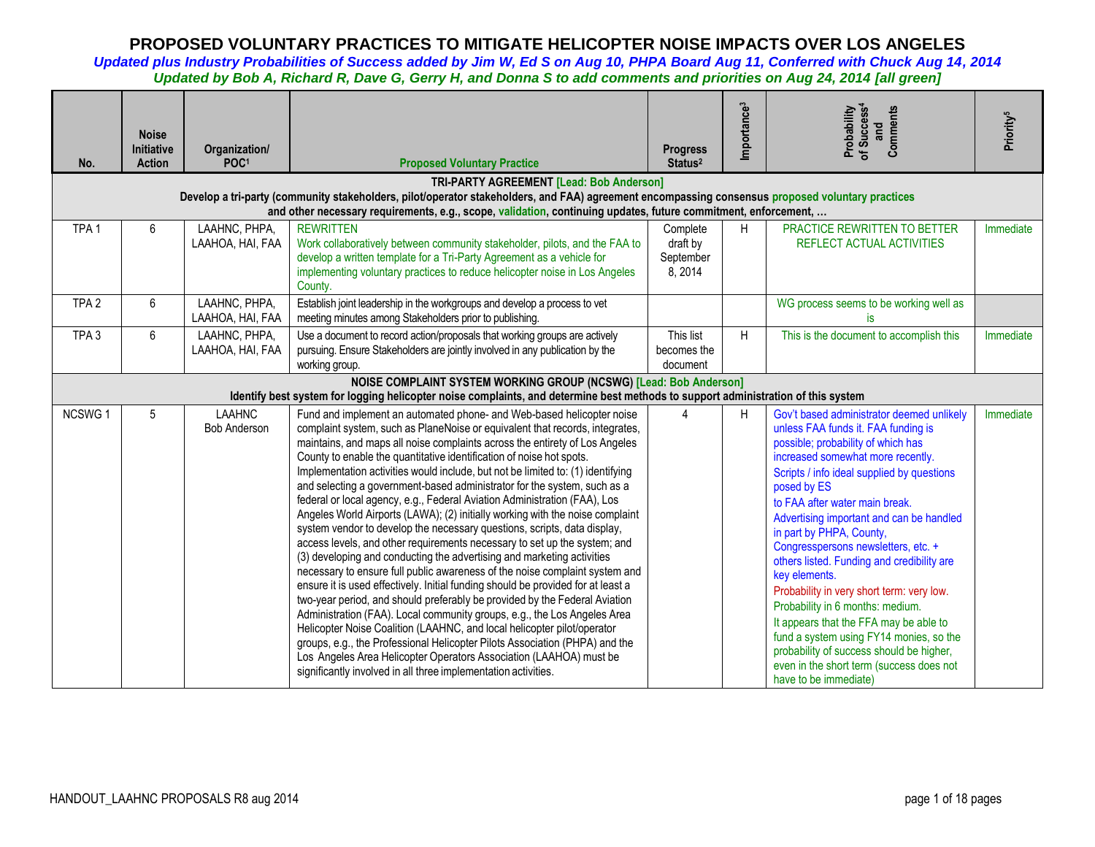| No.              | <b>Noise</b><br><b>Initiative</b><br><b>Action</b>                                                                                                                                           | Organization/<br>POC <sup>1</sup>    | <b>Proposed Voluntary Practice</b>                                                                                                                                                                                                                                                                                                                                                                                                                                                                                                                                                                                                                                                                                                                                                                                                                                                                                                                                                                                                                                                                                                                                                                                                                                                                                                                                                                                                                                                                          | <b>Progress</b><br>Status <sup>2</sup>       | Importance <sup>3</sup> | Probability<br>of Success <sup>4</sup><br>Comments<br>and                                                                                                                                                                                                                                                                                                                                                                                                                                                                                                                                                                                                                                                                       | Priority <sup>5</sup> |  |  |  |
|------------------|----------------------------------------------------------------------------------------------------------------------------------------------------------------------------------------------|--------------------------------------|-------------------------------------------------------------------------------------------------------------------------------------------------------------------------------------------------------------------------------------------------------------------------------------------------------------------------------------------------------------------------------------------------------------------------------------------------------------------------------------------------------------------------------------------------------------------------------------------------------------------------------------------------------------------------------------------------------------------------------------------------------------------------------------------------------------------------------------------------------------------------------------------------------------------------------------------------------------------------------------------------------------------------------------------------------------------------------------------------------------------------------------------------------------------------------------------------------------------------------------------------------------------------------------------------------------------------------------------------------------------------------------------------------------------------------------------------------------------------------------------------------------|----------------------------------------------|-------------------------|---------------------------------------------------------------------------------------------------------------------------------------------------------------------------------------------------------------------------------------------------------------------------------------------------------------------------------------------------------------------------------------------------------------------------------------------------------------------------------------------------------------------------------------------------------------------------------------------------------------------------------------------------------------------------------------------------------------------------------|-----------------------|--|--|--|
|                  | TRI-PARTY AGREEMENT [Lead: Bob Anderson]<br>Develop a tri-party (community stakeholders, pilot/operator stakeholders, and FAA) agreement encompassing consensus proposed voluntary practices |                                      |                                                                                                                                                                                                                                                                                                                                                                                                                                                                                                                                                                                                                                                                                                                                                                                                                                                                                                                                                                                                                                                                                                                                                                                                                                                                                                                                                                                                                                                                                                             |                                              |                         |                                                                                                                                                                                                                                                                                                                                                                                                                                                                                                                                                                                                                                                                                                                                 |                       |  |  |  |
|                  |                                                                                                                                                                                              |                                      | and other necessary requirements, e.g., scope, validation, continuing updates, future commitment, enforcement,                                                                                                                                                                                                                                                                                                                                                                                                                                                                                                                                                                                                                                                                                                                                                                                                                                                                                                                                                                                                                                                                                                                                                                                                                                                                                                                                                                                              |                                              |                         |                                                                                                                                                                                                                                                                                                                                                                                                                                                                                                                                                                                                                                                                                                                                 |                       |  |  |  |
| TPA <sub>1</sub> | 6                                                                                                                                                                                            | LAAHNC, PHPA,<br>LAAHOA, HAI, FAA    | <b>REWRITTEN</b><br>Work collaboratively between community stakeholder, pilots, and the FAA to<br>develop a written template for a Tri-Party Agreement as a vehicle for<br>implementing voluntary practices to reduce helicopter noise in Los Angeles<br>County.                                                                                                                                                                                                                                                                                                                                                                                                                                                                                                                                                                                                                                                                                                                                                                                                                                                                                                                                                                                                                                                                                                                                                                                                                                            | Complete<br>draft by<br>September<br>8, 2014 | H.                      | PRACTICE REWRITTEN TO BETTER<br>REFLECT ACTUAL ACTIVITIES                                                                                                                                                                                                                                                                                                                                                                                                                                                                                                                                                                                                                                                                       | Immediate             |  |  |  |
| TPA <sub>2</sub> | 6                                                                                                                                                                                            | LAAHNC, PHPA,<br>LAAHOA, HAI, FAA    | Establish joint leadership in the workgroups and develop a process to vet<br>meeting minutes among Stakeholders prior to publishing.                                                                                                                                                                                                                                                                                                                                                                                                                                                                                                                                                                                                                                                                                                                                                                                                                                                                                                                                                                                                                                                                                                                                                                                                                                                                                                                                                                        |                                              |                         | WG process seems to be working well as<br>is.                                                                                                                                                                                                                                                                                                                                                                                                                                                                                                                                                                                                                                                                                   |                       |  |  |  |
| TPA <sub>3</sub> | 6                                                                                                                                                                                            | LAAHNC, PHPA,<br>LAAHOA, HAI, FAA    | Use a document to record action/proposals that working groups are actively<br>pursuing. Ensure Stakeholders are jointly involved in any publication by the<br>working group.                                                                                                                                                                                                                                                                                                                                                                                                                                                                                                                                                                                                                                                                                                                                                                                                                                                                                                                                                                                                                                                                                                                                                                                                                                                                                                                                | This list<br>becomes the<br>document         | H                       | This is the document to accomplish this                                                                                                                                                                                                                                                                                                                                                                                                                                                                                                                                                                                                                                                                                         | Immediate             |  |  |  |
|                  |                                                                                                                                                                                              |                                      | NOISE COMPLAINT SYSTEM WORKING GROUP (NCSWG) [Lead: Bob Anderson]                                                                                                                                                                                                                                                                                                                                                                                                                                                                                                                                                                                                                                                                                                                                                                                                                                                                                                                                                                                                                                                                                                                                                                                                                                                                                                                                                                                                                                           |                                              |                         |                                                                                                                                                                                                                                                                                                                                                                                                                                                                                                                                                                                                                                                                                                                                 |                       |  |  |  |
|                  |                                                                                                                                                                                              |                                      | Identify best system for logging helicopter noise complaints, and determine best methods to support administration of this system                                                                                                                                                                                                                                                                                                                                                                                                                                                                                                                                                                                                                                                                                                                                                                                                                                                                                                                                                                                                                                                                                                                                                                                                                                                                                                                                                                           |                                              |                         |                                                                                                                                                                                                                                                                                                                                                                                                                                                                                                                                                                                                                                                                                                                                 |                       |  |  |  |
| <b>NCSWG1</b>    | 5                                                                                                                                                                                            | <b>LAAHNC</b><br><b>Bob Anderson</b> | Fund and implement an automated phone- and Web-based helicopter noise<br>complaint system, such as PlaneNoise or equivalent that records, integrates,<br>maintains, and maps all noise complaints across the entirety of Los Angeles<br>County to enable the quantitative identification of noise hot spots.<br>Implementation activities would include, but not be limited to: (1) identifying<br>and selecting a government-based administrator for the system, such as a<br>federal or local agency, e.g., Federal Aviation Administration (FAA), Los<br>Angeles World Airports (LAWA); (2) initially working with the noise complaint<br>system vendor to develop the necessary questions, scripts, data display,<br>access levels, and other requirements necessary to set up the system; and<br>(3) developing and conducting the advertising and marketing activities<br>necessary to ensure full public awareness of the noise complaint system and<br>ensure it is used effectively. Initial funding should be provided for at least a<br>two-year period, and should preferably be provided by the Federal Aviation<br>Administration (FAA). Local community groups, e.g., the Los Angeles Area<br>Helicopter Noise Coalition (LAAHNC, and local helicopter pilot/operator<br>groups, e.g., the Professional Helicopter Pilots Association (PHPA) and the<br>Los Angeles Area Helicopter Operators Association (LAAHOA) must be<br>significantly involved in all three implementation activities. | 4                                            | H                       | Gov't based administrator deemed unlikely<br>unless FAA funds it. FAA funding is<br>possible; probability of which has<br>increased somewhat more recently.<br>Scripts / info ideal supplied by questions<br>posed by ES<br>to FAA after water main break.<br>Advertising important and can be handled<br>in part by PHPA, County,<br>Congresspersons newsletters, etc. +<br>others listed. Funding and credibility are<br>key elements.<br>Probability in very short term: very low.<br>Probability in 6 months: medium.<br>It appears that the FFA may be able to<br>fund a system using FY14 monies, so the<br>probability of success should be higher,<br>even in the short term (success does not<br>have to be immediate) | Immediate             |  |  |  |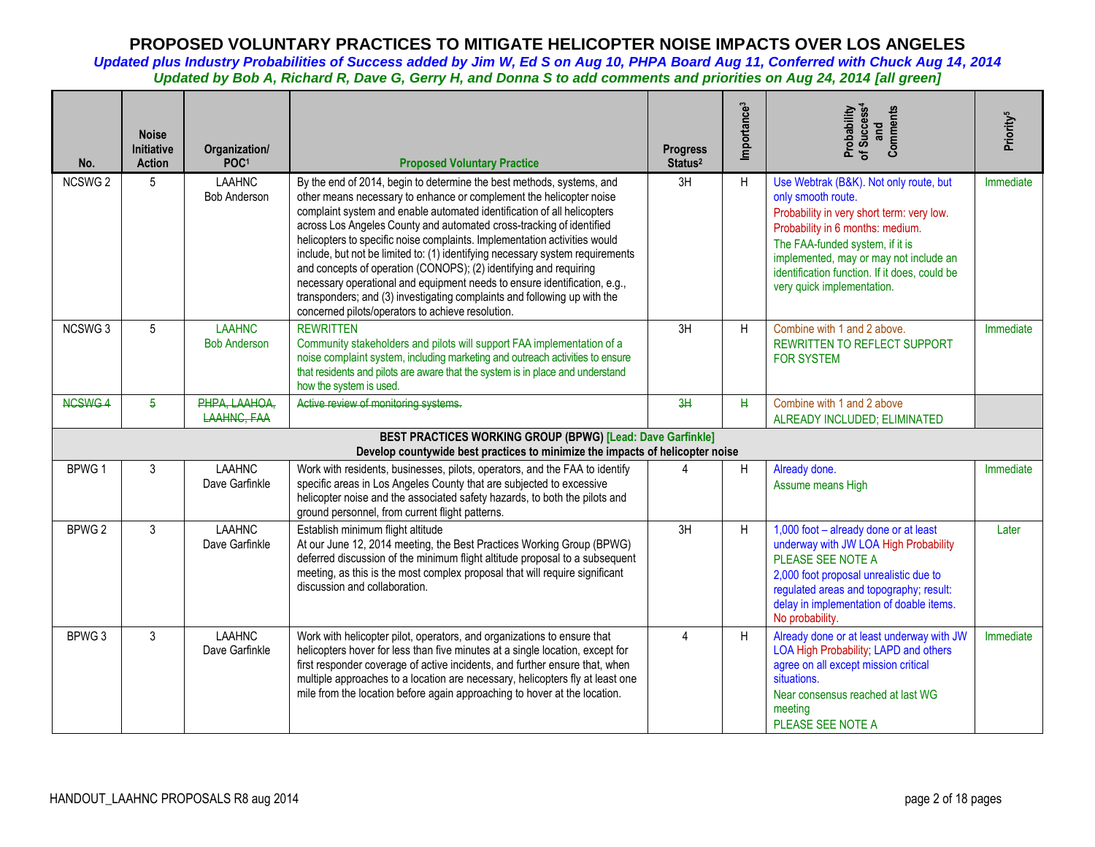| No.                | <b>Noise</b><br>Initiative<br><b>Action</b> | Organization/<br>POC <sup>1</sup>    | <b>Proposed Voluntary Practice</b>                                                                                                                                                                                                                                                                                                                                                                                                                                                                                                                                                                                                                                                                                                               | <b>Progress</b><br>Status <sup>2</sup> | Importance <sup>3</sup> | Probability<br>of Success <sup>4</sup><br>and<br>Comments                                                                                                                                                                                                                                                 | Priority <sup>5</sup> |
|--------------------|---------------------------------------------|--------------------------------------|--------------------------------------------------------------------------------------------------------------------------------------------------------------------------------------------------------------------------------------------------------------------------------------------------------------------------------------------------------------------------------------------------------------------------------------------------------------------------------------------------------------------------------------------------------------------------------------------------------------------------------------------------------------------------------------------------------------------------------------------------|----------------------------------------|-------------------------|-----------------------------------------------------------------------------------------------------------------------------------------------------------------------------------------------------------------------------------------------------------------------------------------------------------|-----------------------|
| NCSWG <sub>2</sub> | 5                                           | <b>LAAHNC</b><br><b>Bob Anderson</b> | By the end of 2014, begin to determine the best methods, systems, and<br>other means necessary to enhance or complement the helicopter noise<br>complaint system and enable automated identification of all helicopters<br>across Los Angeles County and automated cross-tracking of identified<br>helicopters to specific noise complaints. Implementation activities would<br>include, but not be limited to: (1) identifying necessary system requirements<br>and concepts of operation (CONOPS); (2) identifying and requiring<br>necessary operational and equipment needs to ensure identification, e.g.,<br>transponders; and (3) investigating complaints and following up with the<br>concerned pilots/operators to achieve resolution. | 3H                                     | H                       | Use Webtrak (B&K). Not only route, but<br>only smooth route.<br>Probability in very short term: very low.<br>Probability in 6 months: medium.<br>The FAA-funded system, if it is<br>implemented, may or may not include an<br>identification function. If it does, could be<br>very quick implementation. | Immediate             |
| NCSWG <sub>3</sub> | $5^{\circ}$                                 | <b>LAAHNC</b><br><b>Bob Anderson</b> | <b>REWRITTEN</b><br>Community stakeholders and pilots will support FAA implementation of a<br>noise complaint system, including marketing and outreach activities to ensure<br>that residents and pilots are aware that the system is in place and understand<br>how the system is used.                                                                                                                                                                                                                                                                                                                                                                                                                                                         | 3H                                     | H                       | Combine with 1 and 2 above.<br><b>REWRITTEN TO REFLECT SUPPORT</b><br><b>FOR SYSTEM</b>                                                                                                                                                                                                                   | Immediate             |
| NCSWG4             | 5                                           | PHPA, LAAHOA,<br>LAAHNG, FAA         | Active review of monitoring systems.                                                                                                                                                                                                                                                                                                                                                                                                                                                                                                                                                                                                                                                                                                             | 3H                                     | $\mathbf{H}$            | Combine with 1 and 2 above<br>ALREADY INCLUDED; ELIMINATED                                                                                                                                                                                                                                                |                       |
|                    |                                             |                                      | BEST PRACTICES WORKING GROUP (BPWG) [Lead: Dave Garfinkle]<br>Develop countywide best practices to minimize the impacts of helicopter noise                                                                                                                                                                                                                                                                                                                                                                                                                                                                                                                                                                                                      |                                        |                         |                                                                                                                                                                                                                                                                                                           |                       |
| BPWG <sub>1</sub>  | 3                                           | <b>LAAHNC</b><br>Dave Garfinkle      | Work with residents, businesses, pilots, operators, and the FAA to identify<br>specific areas in Los Angeles County that are subjected to excessive<br>helicopter noise and the associated safety hazards, to both the pilots and<br>ground personnel, from current flight patterns.                                                                                                                                                                                                                                                                                                                                                                                                                                                             |                                        | H                       | Already done.<br>Assume means High                                                                                                                                                                                                                                                                        | Immediate             |
| BPWG <sub>2</sub>  | 3                                           | <b>LAAHNC</b><br>Dave Garfinkle      | Establish minimum flight altitude<br>At our June 12, 2014 meeting, the Best Practices Working Group (BPWG)<br>deferred discussion of the minimum flight altitude proposal to a subsequent<br>meeting, as this is the most complex proposal that will require significant<br>discussion and collaboration.                                                                                                                                                                                                                                                                                                                                                                                                                                        | 3H                                     | H                       | 1,000 foot - already done or at least<br>underway with JW LOA High Probability<br>PLEASE SEE NOTE A<br>2,000 foot proposal unrealistic due to<br>regulated areas and topography; result:<br>delay in implementation of doable items.<br>No probability.                                                   | Later                 |
| BPWG 3             | 3                                           | <b>LAAHNC</b><br>Dave Garfinkle      | Work with helicopter pilot, operators, and organizations to ensure that<br>helicopters hover for less than five minutes at a single location, except for<br>first responder coverage of active incidents, and further ensure that, when<br>multiple approaches to a location are necessary, helicopters fly at least one<br>mile from the location before again approaching to hover at the location.                                                                                                                                                                                                                                                                                                                                            | $\overline{4}$                         | H                       | Already done or at least underway with JW<br>LOA High Probability; LAPD and others<br>agree on all except mission critical<br>situations.<br>Near consensus reached at last WG<br>meeting<br>PLEASE SEE NOTE A                                                                                            | Immediate             |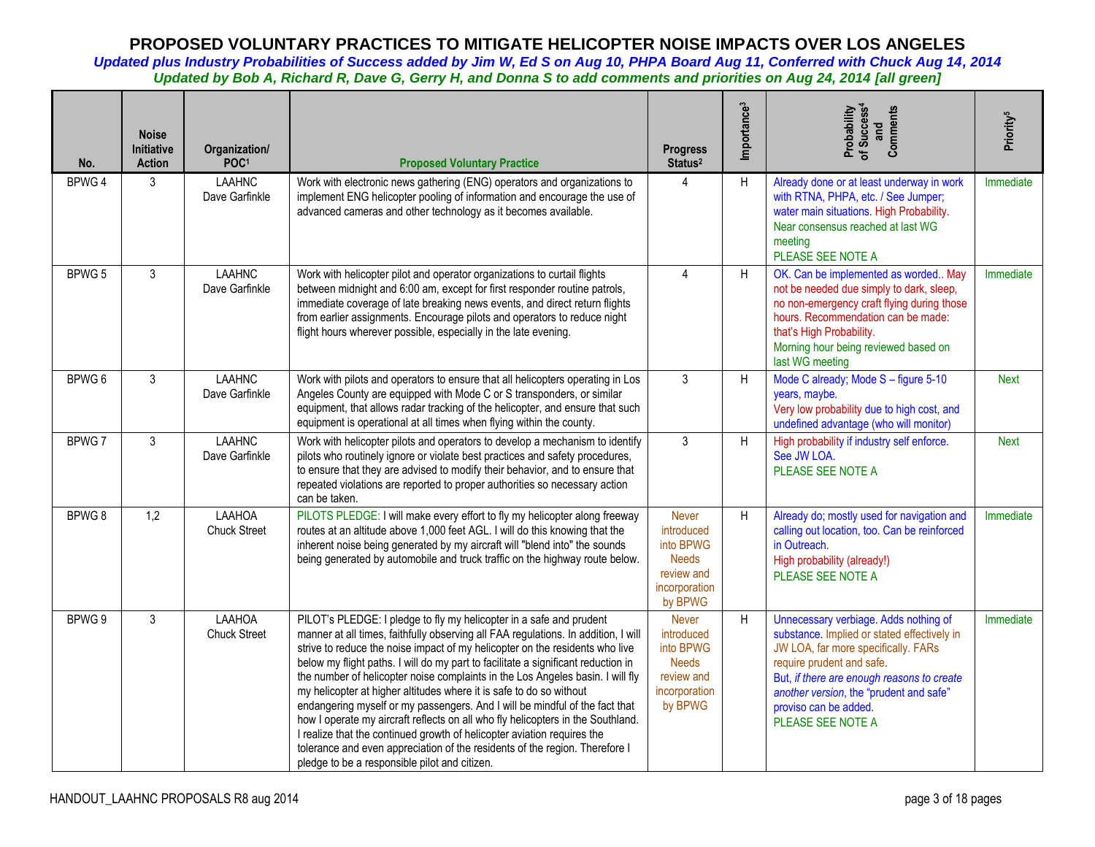| No.    | <b>Noise</b><br><b>Initiative</b><br><b>Action</b> | Organization/<br>POC <sup>1</sup> | <b>Proposed Voluntary Practice</b>                                                                                                                                                                                                                                                                                                                                                                                                                                                                                                                                                                                                                                                                                                                                                                                                                                   | <b>Progress</b><br>Status <sup>2</sup>                                                            | Importance <sup>3</sup> | Probability<br>of Success <sup>4</sup><br>Comments<br>and                                                                                                                                                                                                                                       | Priority <sup>5</sup> |
|--------|----------------------------------------------------|-----------------------------------|----------------------------------------------------------------------------------------------------------------------------------------------------------------------------------------------------------------------------------------------------------------------------------------------------------------------------------------------------------------------------------------------------------------------------------------------------------------------------------------------------------------------------------------------------------------------------------------------------------------------------------------------------------------------------------------------------------------------------------------------------------------------------------------------------------------------------------------------------------------------|---------------------------------------------------------------------------------------------------|-------------------------|-------------------------------------------------------------------------------------------------------------------------------------------------------------------------------------------------------------------------------------------------------------------------------------------------|-----------------------|
| BPWG 4 | 3                                                  | <b>LAAHNC</b><br>Dave Garfinkle   | Work with electronic news gathering (ENG) operators and organizations to<br>implement ENG helicopter pooling of information and encourage the use of<br>advanced cameras and other technology as it becomes available.                                                                                                                                                                                                                                                                                                                                                                                                                                                                                                                                                                                                                                               | 4                                                                                                 | H                       | Already done or at least underway in work<br>with RTNA, PHPA, etc. / See Jumper;<br>water main situations. High Probability.<br>Near consensus reached at last WG<br>meeting<br>PLEASE SEE NOTE A                                                                                               | Immediate             |
| BPWG 5 | 3                                                  | <b>LAAHNC</b><br>Dave Garfinkle   | Work with helicopter pilot and operator organizations to curtail flights<br>between midnight and 6:00 am, except for first responder routine patrols,<br>immediate coverage of late breaking news events, and direct return flights<br>from earlier assignments. Encourage pilots and operators to reduce night<br>flight hours wherever possible, especially in the late evening.                                                                                                                                                                                                                                                                                                                                                                                                                                                                                   | 4                                                                                                 | H                       | OK. Can be implemented as worded May<br>not be needed due simply to dark, sleep,<br>no non-emergency craft flying during those<br>hours. Recommendation can be made:<br>that's High Probability.<br>Morning hour being reviewed based on<br>last WG meeting                                     | Immediate             |
| BPWG 6 | 3                                                  | <b>LAAHNC</b><br>Dave Garfinkle   | Work with pilots and operators to ensure that all helicopters operating in Los<br>Angeles County are equipped with Mode C or S transponders, or similar<br>equipment, that allows radar tracking of the helicopter, and ensure that such<br>equipment is operational at all times when flying within the county.                                                                                                                                                                                                                                                                                                                                                                                                                                                                                                                                                     | $\mathbf{3}$                                                                                      | H                       | Mode C already; Mode S - figure 5-10<br>years, maybe.<br>Very low probability due to high cost, and<br>undefined advantage (who will monitor)                                                                                                                                                   | <b>Next</b>           |
| BPWG7  | 3                                                  | <b>LAAHNC</b><br>Dave Garfinkle   | Work with helicopter pilots and operators to develop a mechanism to identify<br>pilots who routinely ignore or violate best practices and safety procedures,<br>to ensure that they are advised to modify their behavior, and to ensure that<br>repeated violations are reported to proper authorities so necessary action<br>can be taken.                                                                                                                                                                                                                                                                                                                                                                                                                                                                                                                          | 3                                                                                                 | H                       | High probability if industry self enforce.<br>See JW LOA.<br>PLEASE SEE NOTE A                                                                                                                                                                                                                  | <b>Next</b>           |
| BPWG8  | 1,2                                                | LAAHOA<br><b>Chuck Street</b>     | PILOTS PLEDGE: I will make every effort to fly my helicopter along freeway<br>routes at an altitude above 1,000 feet AGL. I will do this knowing that the<br>inherent noise being generated by my aircraft will "blend into" the sounds<br>being generated by automobile and truck traffic on the highway route below.                                                                                                                                                                                                                                                                                                                                                                                                                                                                                                                                               | <b>Never</b><br>introduced<br>into BPWG<br><b>Needs</b><br>review and<br>incorporation<br>by BPWG | H                       | Already do; mostly used for navigation and<br>calling out location, too. Can be reinforced<br>in Outreach.<br>High probability (already!)<br>PLEASE SEE NOTE A                                                                                                                                  | Immediate             |
| BPWG 9 | 3                                                  | LAAHOA<br><b>Chuck Street</b>     | PILOT's PLEDGE: I pledge to fly my helicopter in a safe and prudent<br>manner at all times, faithfully observing all FAA regulations. In addition, I will<br>strive to reduce the noise impact of my helicopter on the residents who live<br>below my flight paths. I will do my part to facilitate a significant reduction in<br>the number of helicopter noise complaints in the Los Angeles basin. I will fly<br>my helicopter at higher altitudes where it is safe to do so without<br>endangering myself or my passengers. And I will be mindful of the fact that<br>how I operate my aircraft reflects on all who fly helicopters in the Southland.<br>I realize that the continued growth of helicopter aviation requires the<br>tolerance and even appreciation of the residents of the region. Therefore I<br>pledge to be a responsible pilot and citizen. | Never<br>introduced<br>into BPWG<br><b>Needs</b><br>review and<br>incorporation<br>by BPWG        | H                       | Unnecessary verbiage. Adds nothing of<br>substance. Implied or stated effectively in<br>JW LOA, far more specifically. FARs<br>require prudent and safe.<br>But, if there are enough reasons to create<br>another version, the "prudent and safe"<br>proviso can be added.<br>PLEASE SEE NOTE A | Immediate             |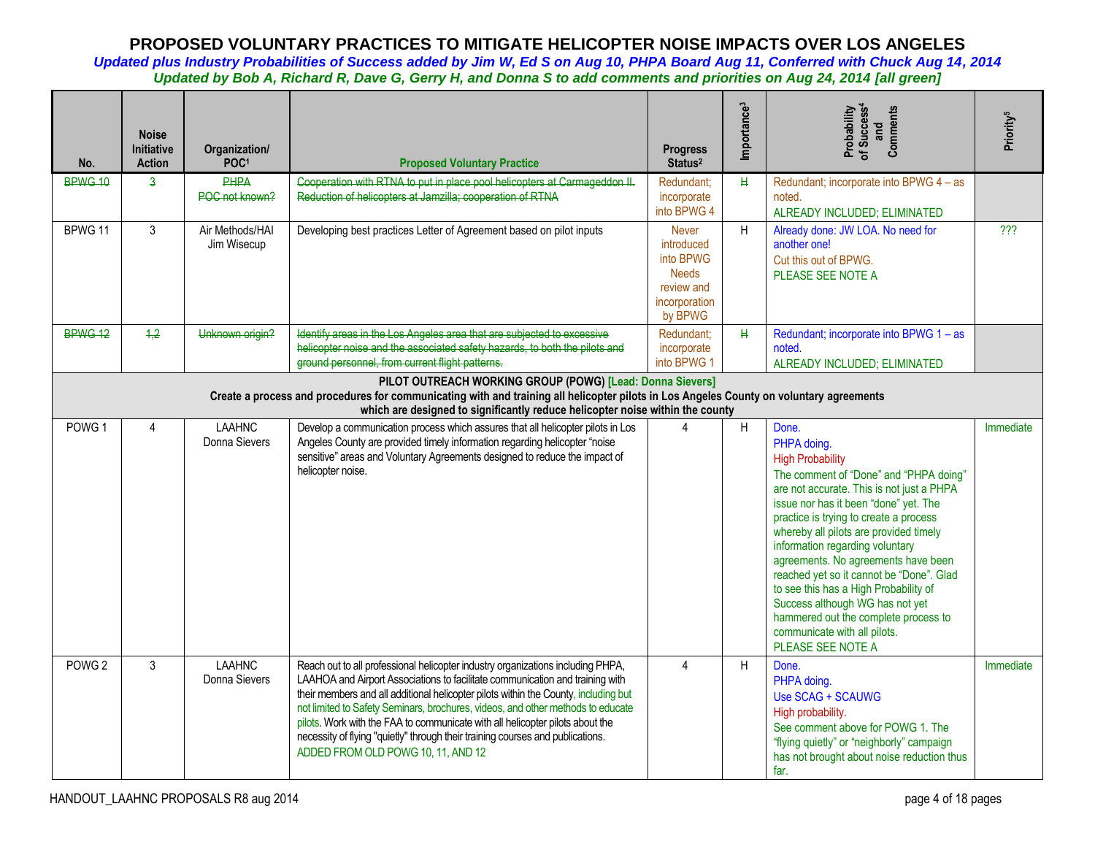| No.               | <b>Noise</b><br><b>Initiative</b><br><b>Action</b>                                                                                                                                                                                                                                    | Organization/<br>POC <sup>1</sup> | <b>Proposed Voluntary Practice</b>                                                                                                                                                                                                                                                                                                                                                                                                                                                                                                                  | <b>Progress</b><br>Status <sup>2</sup>                                                            | Importance <sup>3</sup> | Probability<br>of Success <sup>4</sup><br>Comments<br>and                                                                                                                                                                                                                                                                                                                                                                                                                                                                                                          | Priority <sup>5</sup> |  |
|-------------------|---------------------------------------------------------------------------------------------------------------------------------------------------------------------------------------------------------------------------------------------------------------------------------------|-----------------------------------|-----------------------------------------------------------------------------------------------------------------------------------------------------------------------------------------------------------------------------------------------------------------------------------------------------------------------------------------------------------------------------------------------------------------------------------------------------------------------------------------------------------------------------------------------------|---------------------------------------------------------------------------------------------------|-------------------------|--------------------------------------------------------------------------------------------------------------------------------------------------------------------------------------------------------------------------------------------------------------------------------------------------------------------------------------------------------------------------------------------------------------------------------------------------------------------------------------------------------------------------------------------------------------------|-----------------------|--|
| BPWG 10           | $\overline{a}$                                                                                                                                                                                                                                                                        | <b>PHPA</b><br>POC not known?     | Cooperation with RTNA to put in place pool helicopters at Carmageddon II.<br>Reduction of helicopters at Jamzilla; cooperation of RTNA                                                                                                                                                                                                                                                                                                                                                                                                              | Redundant:<br>incorporate<br>into BPWG 4                                                          | $\mathbf H$             | Redundant; incorporate into BPWG 4 - as<br>noted.<br>ALREADY INCLUDED; ELIMINATED                                                                                                                                                                                                                                                                                                                                                                                                                                                                                  |                       |  |
| BPWG 11           | 3                                                                                                                                                                                                                                                                                     | Air Methods/HAI<br>Jim Wisecup    | Developing best practices Letter of Agreement based on pilot inputs                                                                                                                                                                                                                                                                                                                                                                                                                                                                                 | <b>Never</b><br>introduced<br>into BPWG<br><b>Needs</b><br>review and<br>incorporation<br>by BPWG | H                       | Already done: JW LOA. No need for<br>another one!<br>Cut this out of BPWG.<br>PLEASE SEE NOTE A                                                                                                                                                                                                                                                                                                                                                                                                                                                                    | ???                   |  |
| BPWG 12           | 4,2                                                                                                                                                                                                                                                                                   | Unknown origin?                   | Identify areas in the Los Angeles area that are subjected to excessive<br>helicopter noise and the associated safety hazards, to both the pilots and<br>ground personnel, from current flight patterns.                                                                                                                                                                                                                                                                                                                                             | Redundant:<br>incorporate<br>into BPWG 1                                                          | $\mathbf H$             | Redundant; incorporate into BPWG 1 - as<br>noted.<br>ALREADY INCLUDED; ELIMINATED                                                                                                                                                                                                                                                                                                                                                                                                                                                                                  |                       |  |
|                   | PILOT OUTREACH WORKING GROUP (POWG) [Lead: Donna Sievers]<br>Create a process and procedures for communicating with and training all helicopter pilots in Los Angeles County on voluntary agreements<br>which are designed to significantly reduce helicopter noise within the county |                                   |                                                                                                                                                                                                                                                                                                                                                                                                                                                                                                                                                     |                                                                                                   |                         |                                                                                                                                                                                                                                                                                                                                                                                                                                                                                                                                                                    |                       |  |
| POWG <sub>1</sub> | 4                                                                                                                                                                                                                                                                                     | <b>LAAHNC</b><br>Donna Sievers    | Develop a communication process which assures that all helicopter pilots in Los<br>Angeles County are provided timely information regarding helicopter "noise<br>sensitive" areas and Voluntary Agreements designed to reduce the impact of<br>helicopter noise.                                                                                                                                                                                                                                                                                    | 4                                                                                                 | H                       | Done.<br>PHPA doing.<br><b>High Probability</b><br>The comment of "Done" and "PHPA doing"<br>are not accurate. This is not just a PHPA<br>issue nor has it been "done" yet. The<br>practice is trying to create a process<br>whereby all pilots are provided timely<br>information regarding voluntary<br>agreements. No agreements have been<br>reached yet so it cannot be "Done". Glad<br>to see this has a High Probability of<br>Success although WG has not yet<br>hammered out the complete process to<br>communicate with all pilots.<br>PLEASE SEE NOTE A | Immediate             |  |
| POWG <sub>2</sub> | 3                                                                                                                                                                                                                                                                                     | <b>LAAHNC</b><br>Donna Sievers    | Reach out to all professional helicopter industry organizations including PHPA,<br>LAAHOA and Airport Associations to facilitate communication and training with<br>their members and all additional helicopter pilots within the County, including but<br>not limited to Safety Seminars, brochures, videos, and other methods to educate<br>pilots. Work with the FAA to communicate with all helicopter pilots about the<br>necessity of flying "quietly" through their training courses and publications.<br>ADDED FROM OLD POWG 10, 11, AND 12 | $\Delta$                                                                                          | H                       | Done.<br>PHPA doing.<br>Use SCAG + SCAUWG<br>High probability.<br>See comment above for POWG 1. The<br>"flying quietly" or "neighborly" campaign<br>has not brought about noise reduction thus<br>far.                                                                                                                                                                                                                                                                                                                                                             | Immediate             |  |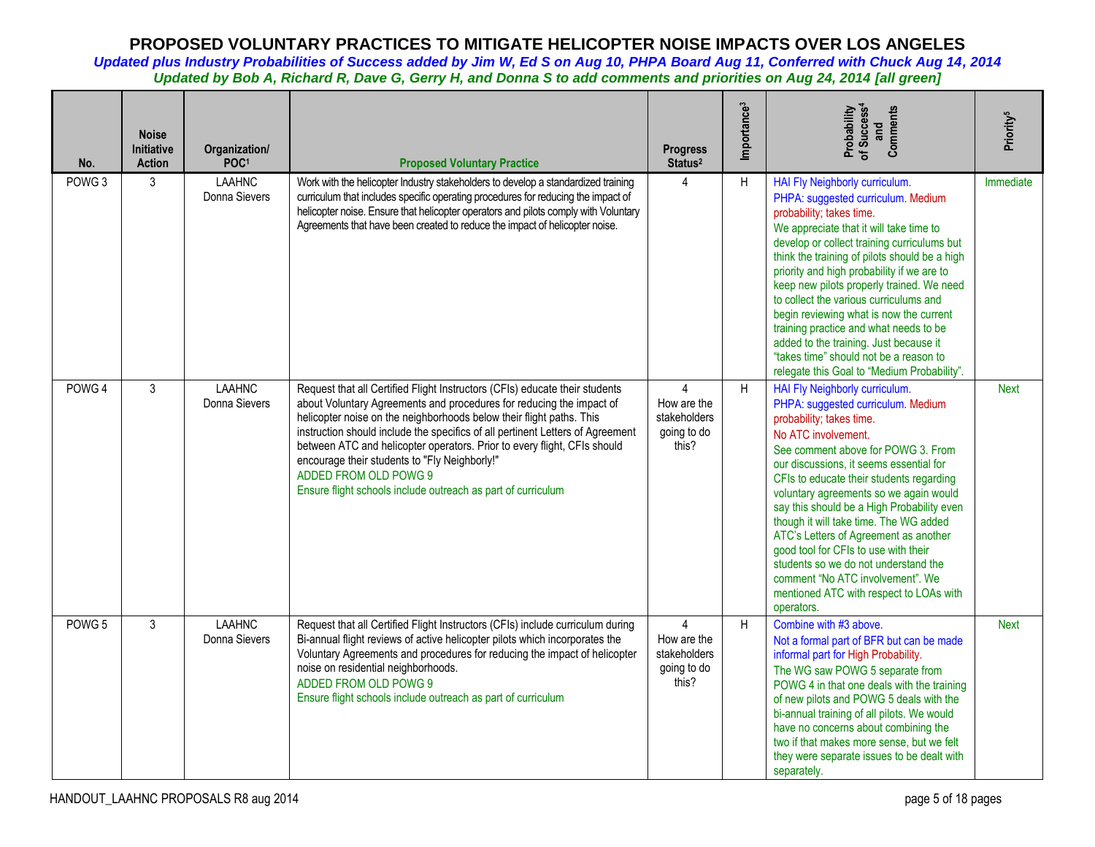| No.               | <b>Noise</b><br><b>Initiative</b><br><b>Action</b> | Organization/<br>POC <sup>1</sup> | <b>Proposed Voluntary Practice</b>                                                                                                                                                                                                                                                                                                                                                                                                                                                                                                  | <b>Progress</b><br>Status <sup>2</sup>                                | Importance <sup>3</sup> | Probability<br>of Success <sup>4</sup><br>Comments<br>and                                                                                                                                                                                                                                                                                                                                                                                                                                                                                                                                                    | Priority <sup>5</sup> |
|-------------------|----------------------------------------------------|-----------------------------------|-------------------------------------------------------------------------------------------------------------------------------------------------------------------------------------------------------------------------------------------------------------------------------------------------------------------------------------------------------------------------------------------------------------------------------------------------------------------------------------------------------------------------------------|-----------------------------------------------------------------------|-------------------------|--------------------------------------------------------------------------------------------------------------------------------------------------------------------------------------------------------------------------------------------------------------------------------------------------------------------------------------------------------------------------------------------------------------------------------------------------------------------------------------------------------------------------------------------------------------------------------------------------------------|-----------------------|
| POWG <sub>3</sub> | 3                                                  | <b>LAAHNC</b><br>Donna Sievers    | Work with the helicopter Industry stakeholders to develop a standardized training<br>curriculum that includes specific operating procedures for reducing the impact of<br>helicopter noise. Ensure that helicopter operators and pilots comply with Voluntary<br>Agreements that have been created to reduce the impact of helicopter noise.                                                                                                                                                                                        | $\overline{4}$                                                        | H                       | HAI Fly Neighborly curriculum.<br>PHPA: suggested curriculum. Medium<br>probability; takes time.<br>We appreciate that it will take time to<br>develop or collect training curriculums but<br>think the training of pilots should be a high<br>priority and high probability if we are to<br>keep new pilots properly trained. We need<br>to collect the various curriculums and<br>begin reviewing what is now the current<br>training practice and what needs to be<br>added to the training. Just because it<br>"takes time" should not be a reason to<br>relegate this Goal to "Medium Probability".     | Immediate             |
| POWG <sub>4</sub> | 3                                                  | <b>LAAHNC</b><br>Donna Sievers    | Request that all Certified Flight Instructors (CFIs) educate their students<br>about Voluntary Agreements and procedures for reducing the impact of<br>helicopter noise on the neighborhoods below their flight paths. This<br>instruction should include the specifics of all pertinent Letters of Agreement<br>between ATC and helicopter operators. Prior to every flight, CFIs should<br>encourage their students to "Fly Neighborly!"<br>ADDED FROM OLD POWG 9<br>Ensure flight schools include outreach as part of curriculum | $\overline{4}$<br>How are the<br>stakeholders<br>going to do<br>this? | H                       | HAI Fly Neighborly curriculum.<br>PHPA: suggested curriculum. Medium<br>probability; takes time.<br>No ATC involvement.<br>See comment above for POWG 3. From<br>our discussions, it seems essential for<br>CFIs to educate their students regarding<br>voluntary agreements so we again would<br>say this should be a High Probability even<br>though it will take time. The WG added<br>ATC's Letters of Agreement as another<br>good tool for CFIs to use with their<br>students so we do not understand the<br>comment "No ATC involvement". We<br>mentioned ATC with respect to LOAs with<br>operators. | <b>Next</b>           |
| POWG <sub>5</sub> | 3                                                  | <b>LAAHNC</b><br>Donna Sievers    | Request that all Certified Flight Instructors (CFIs) include curriculum during<br>Bi-annual flight reviews of active helicopter pilots which incorporates the<br>Voluntary Agreements and procedures for reducing the impact of helicopter<br>noise on residential neighborhoods.<br>ADDED FROM OLD POWG 9<br>Ensure flight schools include outreach as part of curriculum                                                                                                                                                          | $\overline{4}$<br>How are the<br>stakeholders<br>going to do<br>this? | H                       | Combine with #3 above.<br>Not a formal part of BFR but can be made<br>informal part for High Probability.<br>The WG saw POWG 5 separate from<br>POWG 4 in that one deals with the training<br>of new pilots and POWG 5 deals with the<br>bi-annual training of all pilots. We would<br>have no concerns about combining the<br>two if that makes more sense, but we felt<br>they were separate issues to be dealt with<br>separately.                                                                                                                                                                        | <b>Next</b>           |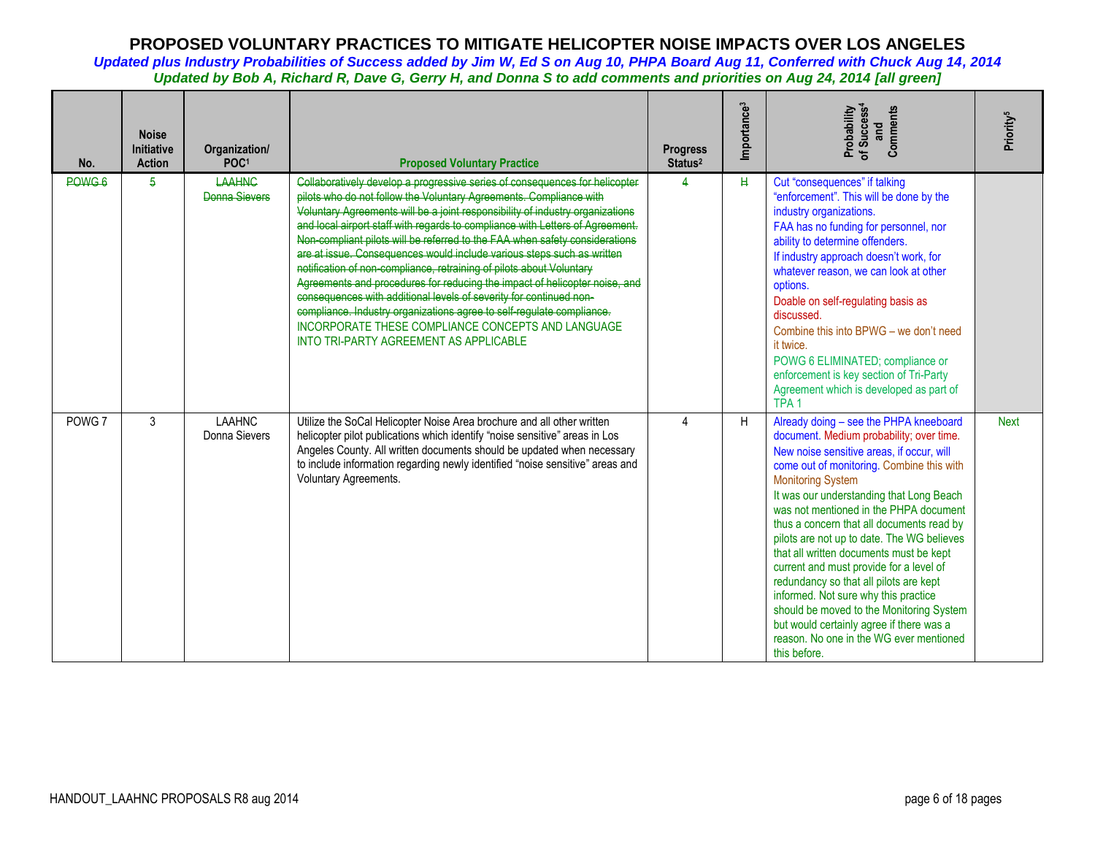| No.               | <b>Noise</b><br><b>Initiative</b><br><b>Action</b> | Organization/<br>POC <sup>1</sup> | <b>Proposed Voluntary Practice</b>                                                                                                                                                                                                                                                                                                                                                                                                                                                                                                                                                                                                                                                                                                                                                                                                                                                       | <b>Progress</b><br>Status <sup>2</sup> | Importance <sup>3</sup> | Comments<br>Probability<br>of Success <sup>4</sup><br>and                                                                                                                                                                                                                                                                                                                                                                                                                                                                                                                                                                                                                                                            | Priority <sup>5</sup> |
|-------------------|----------------------------------------------------|-----------------------------------|------------------------------------------------------------------------------------------------------------------------------------------------------------------------------------------------------------------------------------------------------------------------------------------------------------------------------------------------------------------------------------------------------------------------------------------------------------------------------------------------------------------------------------------------------------------------------------------------------------------------------------------------------------------------------------------------------------------------------------------------------------------------------------------------------------------------------------------------------------------------------------------|----------------------------------------|-------------------------|----------------------------------------------------------------------------------------------------------------------------------------------------------------------------------------------------------------------------------------------------------------------------------------------------------------------------------------------------------------------------------------------------------------------------------------------------------------------------------------------------------------------------------------------------------------------------------------------------------------------------------------------------------------------------------------------------------------------|-----------------------|
| POW <sub>G6</sub> | 5                                                  | <b>LAAHNC</b><br>Donna Sievers    | Collaboratively develop a progressive series of consequences for helicopter<br>pilots who do not follow the Voluntary Agreements. Compliance with<br>Voluntary Agreements will be a joint responsibility of industry organizations<br>and local airport staff with regards to compliance with Letters of Agreement.<br>Non compliant pilots will be referred to the FAA when safety considerations<br>are at issue. Consequences would include various steps such as written<br>notification of non-compliance, retraining of pilots about Voluntary<br>Agreements and procedures for reducing the impact of helicopter noise, and<br>consequences with additional levels of severity for continued non-<br>compliance. Industry organizations agree to self-regulate compliance.<br>INCORPORATE THESE COMPLIANCE CONCEPTS AND LANGUAGE<br><b>INTO TRI-PARTY AGREEMENT AS APPLICABLE</b> |                                        | H                       | Cut "consequences" if talking<br>"enforcement". This will be done by the<br>industry organizations.<br>FAA has no funding for personnel, nor<br>ability to determine offenders.<br>If industry approach doesn't work, for<br>whatever reason, we can look at other<br>options.<br>Doable on self-regulating basis as<br>discussed.<br>Combine this into BPWG - we don't need<br>it twice.<br>POWG 6 ELIMINATED; compliance or<br>enforcement is key section of Tri-Party<br>Agreement which is developed as part of<br>TPA <sub>1</sub>                                                                                                                                                                              |                       |
| POWG <sub>7</sub> | 3                                                  | <b>LAAHNC</b><br>Donna Sievers    | Utilize the SoCal Helicopter Noise Area brochure and all other written<br>helicopter pilot publications which identify "noise sensitive" areas in Los<br>Angeles County. All written documents should be updated when necessary<br>to include information regarding newly identified "noise sensitive" areas and<br>Voluntary Agreements.                                                                                                                                                                                                                                                                                                                                                                                                                                                                                                                                                |                                        | H                       | Already doing - see the PHPA kneeboard<br>document. Medium probability; over time.<br>New noise sensitive areas, if occur, will<br>come out of monitoring. Combine this with<br><b>Monitoring System</b><br>It was our understanding that Long Beach<br>was not mentioned in the PHPA document<br>thus a concern that all documents read by<br>pilots are not up to date. The WG believes<br>that all written documents must be kept<br>current and must provide for a level of<br>redundancy so that all pilots are kept<br>informed. Not sure why this practice<br>should be moved to the Monitoring System<br>but would certainly agree if there was a<br>reason. No one in the WG ever mentioned<br>this before. | <b>Next</b>           |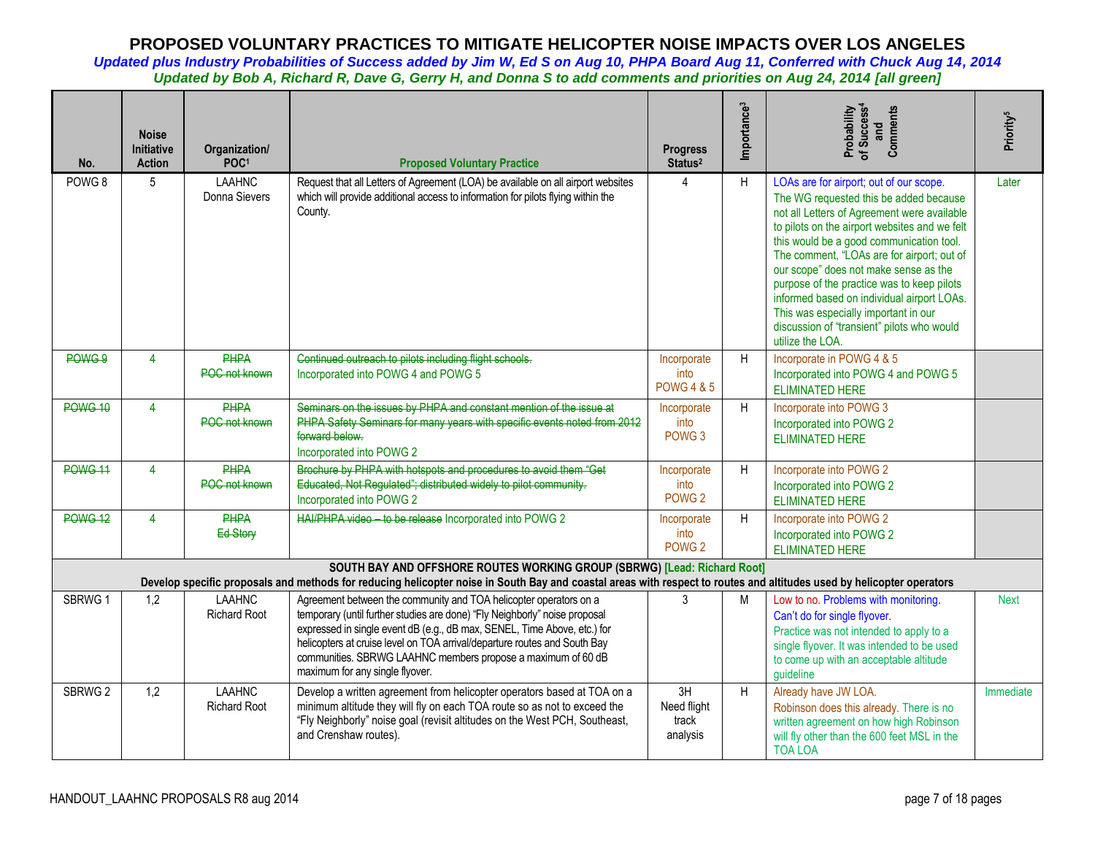| No.                | <b>Noise</b><br><b>Initiative</b><br><b>Action</b> | Organization/<br>POC <sup>1</sup>    | <b>Proposed Voluntary Practice</b>                                                                                                                                                                                                                                                                                                                                                                          | <b>Progress</b><br>Status <sup>2</sup>       | Importance <sup>3</sup> | Probability<br>of Success <sup>4</sup><br>and<br>Comments                                                                                                                                                                                                                                                                                                                                                                                                                                                                  | Priority <sup>5</sup> |
|--------------------|----------------------------------------------------|--------------------------------------|-------------------------------------------------------------------------------------------------------------------------------------------------------------------------------------------------------------------------------------------------------------------------------------------------------------------------------------------------------------------------------------------------------------|----------------------------------------------|-------------------------|----------------------------------------------------------------------------------------------------------------------------------------------------------------------------------------------------------------------------------------------------------------------------------------------------------------------------------------------------------------------------------------------------------------------------------------------------------------------------------------------------------------------------|-----------------------|
| POWG <sub>8</sub>  | 5                                                  | <b>LAAHNC</b><br>Donna Sievers       | Request that all Letters of Agreement (LOA) be available on all airport websites<br>which will provide additional access to information for pilots flying within the<br>County.                                                                                                                                                                                                                             | Δ                                            | H                       | LOAs are for airport; out of our scope.<br>The WG requested this be added because<br>not all Letters of Agreement were available<br>to pilots on the airport websites and we felt<br>this would be a good communication tool.<br>The comment, "LOAs are for airport; out of<br>our scope" does not make sense as the<br>purpose of the practice was to keep pilots<br>informed based on individual airport LOAs.<br>This was especially important in our<br>discussion of "transient" pilots who would<br>utilize the LOA. | Later                 |
| POWG 9             | $\overline{4}$                                     | <b>PHPA</b><br><b>POC not known</b>  | Continued outreach to pilots including flight schools.<br>Incorporated into POWG 4 and POWG 5                                                                                                                                                                                                                                                                                                               | Incorporate<br>into<br><b>POWG 4 &amp; 5</b> | H                       | Incorporate in POWG 4 & 5<br>Incorporated into POWG 4 and POWG 5<br><b>ELIMINATED HERE</b>                                                                                                                                                                                                                                                                                                                                                                                                                                 |                       |
| <b>POWG 10</b>     | $\overline{4}$                                     | <b>PHPA</b><br>POC not known         | Seminars on the issues by PHPA and constant mention of the issue at<br>PHPA Safety Seminars for many years with specific events noted from 2012<br>forward below.<br>Incorporated into POWG 2                                                                                                                                                                                                               | Incorporate<br>into<br>POWG <sub>3</sub>     | H                       | Incorporate into POWG 3<br>Incorporated into POWG 2<br><b>ELIMINATED HERE</b>                                                                                                                                                                                                                                                                                                                                                                                                                                              |                       |
| <b>POWG 11</b>     | $\overline{4}$                                     | <b>PHPA</b><br>POC not known         | Brochure by PHPA with hotspots and procedures to avoid them "Get<br>Educated, Not Regulated"; distributed widely to pilot community.<br>Incorporated into POWG 2                                                                                                                                                                                                                                            | Incorporate<br>into<br>POWG <sub>2</sub>     | H                       | Incorporate into POWG 2<br>Incorporated into POWG 2<br><b>ELIMINATED HERE</b>                                                                                                                                                                                                                                                                                                                                                                                                                                              |                       |
| <b>POWG 12</b>     | $\overline{4}$                                     | <b>PHPA</b><br>Ed-Story              | HAI/PHPA video - to be release Incorporated into POWG 2                                                                                                                                                                                                                                                                                                                                                     | Incorporate<br>into<br>POWG <sub>2</sub>     | H                       | Incorporate into POWG 2<br>Incorporated into POWG 2<br><b>ELIMINATED HERE</b>                                                                                                                                                                                                                                                                                                                                                                                                                                              |                       |
|                    |                                                    |                                      | SOUTH BAY AND OFFSHORE ROUTES WORKING GROUP (SBRWG) [Lead: Richard Root]<br>Develop specific proposals and methods for reducing helicopter noise in South Bay and coastal areas with respect to routes and altitudes used by helicopter operators                                                                                                                                                           |                                              |                         |                                                                                                                                                                                                                                                                                                                                                                                                                                                                                                                            |                       |
| SBRWG <sub>1</sub> | 1,2                                                | <b>LAAHNC</b><br><b>Richard Root</b> | Agreement between the community and TOA helicopter operators on a<br>temporary (until further studies are done) "Fly Neighborly" noise proposal<br>expressed in single event dB (e.g., dB max, SENEL, Time Above, etc.) for<br>helicopters at cruise level on TOA arrival/departure routes and South Bay<br>communities. SBRWG LAAHNC members propose a maximum of 60 dB<br>maximum for any single flyover. | 3                                            | M                       | Low to no. Problems with monitoring.<br>Can't do for single flyover.<br>Practice was not intended to apply to a<br>single flyover. It was intended to be used<br>to come up with an acceptable altitude<br>guideline                                                                                                                                                                                                                                                                                                       | <b>Next</b>           |
| SBRWG <sub>2</sub> | 1,2                                                | <b>LAAHNC</b><br><b>Richard Root</b> | Develop a written agreement from helicopter operators based at TOA on a<br>minimum altitude they will fly on each TOA route so as not to exceed the<br>"Fly Neighborly" noise goal (revisit altitudes on the West PCH, Southeast,<br>and Crenshaw routes).                                                                                                                                                  | 3H<br>Need flight<br>track<br>analysis       | H                       | Already have JW LOA.<br>Robinson does this already. There is no<br>written agreement on how high Robinson<br>will fly other than the 600 feet MSL in the<br><b>TOA LOA</b>                                                                                                                                                                                                                                                                                                                                                 | Immediate             |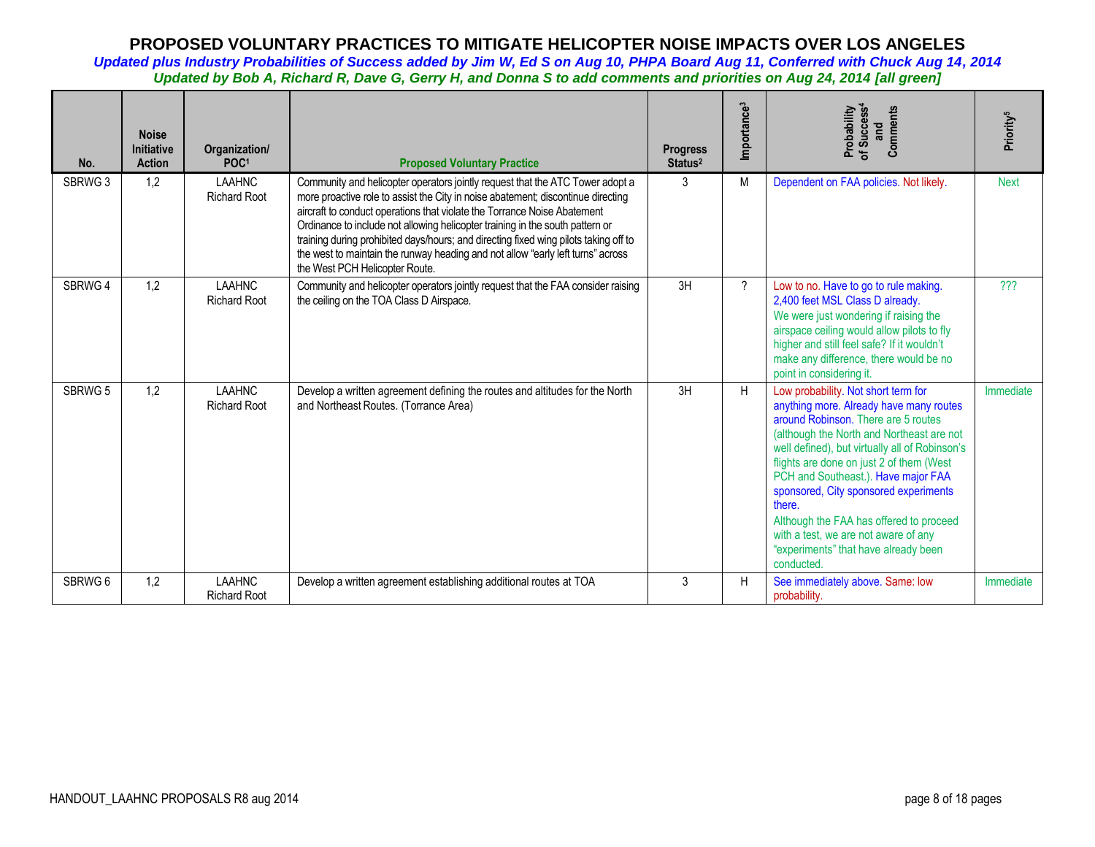| No.     | <b>Noise</b><br><b>Initiative</b><br><b>Action</b> | Organization/<br>POC <sup>1</sup>    | <b>Proposed Voluntary Practice</b>                                                                                                                                                                                                                                                                                                                                                                                                                                                                                                          | <b>Progress</b><br>Status <sup>2</sup> | Importance <sup>3</sup> | Comments<br>Probability<br>of Success <sup>4</sup><br>and                                                                                                                                                                                                                                                                                                                                                                                                                                           | Priority <sup>5</sup> |
|---------|----------------------------------------------------|--------------------------------------|---------------------------------------------------------------------------------------------------------------------------------------------------------------------------------------------------------------------------------------------------------------------------------------------------------------------------------------------------------------------------------------------------------------------------------------------------------------------------------------------------------------------------------------------|----------------------------------------|-------------------------|-----------------------------------------------------------------------------------------------------------------------------------------------------------------------------------------------------------------------------------------------------------------------------------------------------------------------------------------------------------------------------------------------------------------------------------------------------------------------------------------------------|-----------------------|
| SBRWG 3 | 1,2                                                | <b>LAAHNC</b><br><b>Richard Root</b> | Community and helicopter operators jointly request that the ATC Tower adopt a<br>more proactive role to assist the City in noise abatement; discontinue directing<br>aircraft to conduct operations that violate the Torrance Noise Abatement<br>Ordinance to include not allowing helicopter training in the south pattern or<br>training during prohibited days/hours; and directing fixed wing pilots taking off to<br>the west to maintain the runway heading and not allow "early left turns" across<br>the West PCH Helicopter Route. | 3                                      | М                       | Dependent on FAA policies. Not likely.                                                                                                                                                                                                                                                                                                                                                                                                                                                              | <b>Next</b>           |
| SBRWG 4 | 1,2                                                | <b>LAAHNC</b><br><b>Richard Root</b> | Community and helicopter operators jointly request that the FAA consider raising<br>the ceiling on the TOA Class D Airspace.                                                                                                                                                                                                                                                                                                                                                                                                                | 3H                                     | $\gamma$                | Low to no. Have to go to rule making.<br>2,400 feet MSL Class D already.<br>We were just wondering if raising the<br>airspace ceiling would allow pilots to fly<br>higher and still feel safe? If it wouldn't<br>make any difference, there would be no<br>point in considering it.                                                                                                                                                                                                                 | ???                   |
| SBRWG 5 | 1,2                                                | <b>LAAHNC</b><br><b>Richard Root</b> | Develop a written agreement defining the routes and altitudes for the North<br>and Northeast Routes. (Torrance Area)                                                                                                                                                                                                                                                                                                                                                                                                                        | 3H                                     | H                       | Low probability. Not short term for<br>anything more. Already have many routes<br>around Robinson. There are 5 routes<br>(although the North and Northeast are not<br>well defined), but virtually all of Robinson's<br>flights are done on just 2 of them (West<br>PCH and Southeast.). Have major FAA<br>sponsored, City sponsored experiments<br>there.<br>Although the FAA has offered to proceed<br>with a test, we are not aware of any<br>"experiments" that have already been<br>conducted. | Immediate             |
| SBRWG 6 | 1,2                                                | <b>LAAHNC</b><br><b>Richard Root</b> | Develop a written agreement establishing additional routes at TOA                                                                                                                                                                                                                                                                                                                                                                                                                                                                           | 3                                      | H                       | See immediately above. Same: low<br>probability.                                                                                                                                                                                                                                                                                                                                                                                                                                                    | Immediate             |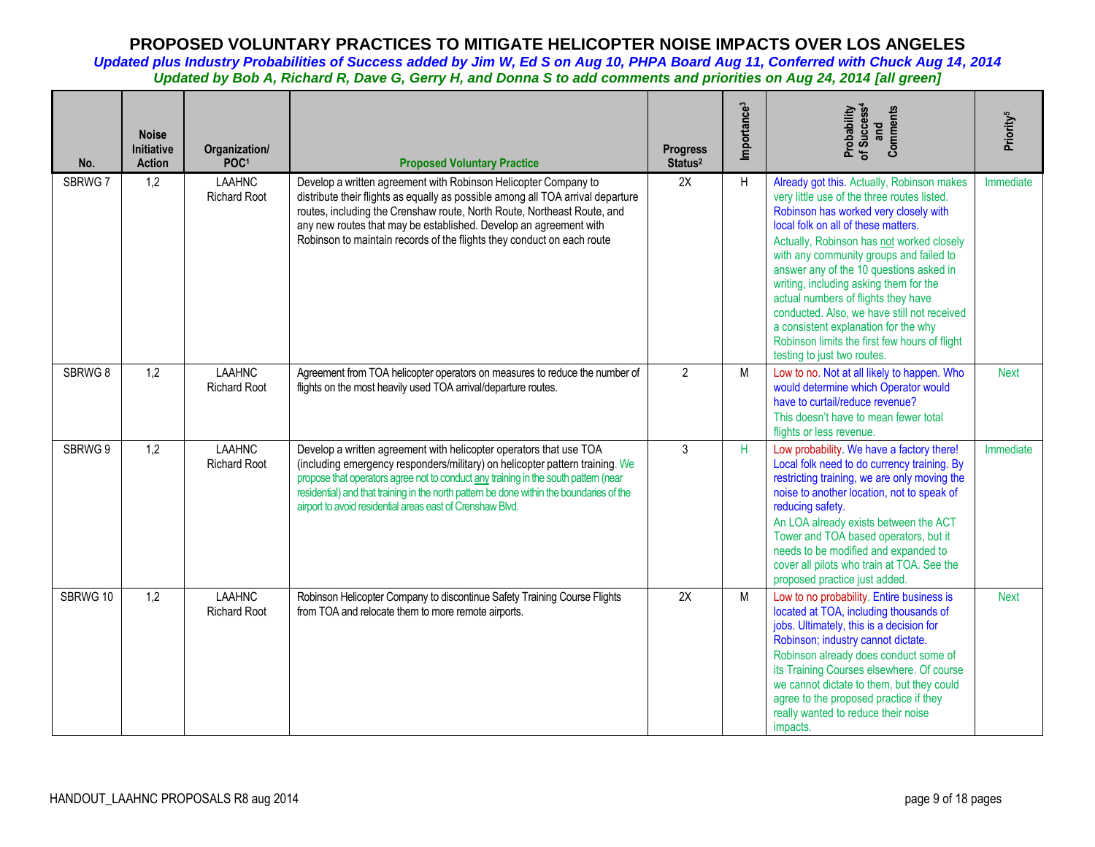| No.      | <b>Noise</b><br>Initiative<br><b>Action</b> | Organization/<br>POC <sup>1</sup>    | <b>Proposed Voluntary Practice</b>                                                                                                                                                                                                                                                                                                                                                                 | <b>Progress</b><br>Status <sup>2</sup> | Importance <sup>3</sup> | Probability<br>of Success <sup>4</sup><br>and<br>Comments                                                                                                                                                                                                                                                                                                                                                                                                                                                                                                            | Priority <sup>5</sup> |
|----------|---------------------------------------------|--------------------------------------|----------------------------------------------------------------------------------------------------------------------------------------------------------------------------------------------------------------------------------------------------------------------------------------------------------------------------------------------------------------------------------------------------|----------------------------------------|-------------------------|----------------------------------------------------------------------------------------------------------------------------------------------------------------------------------------------------------------------------------------------------------------------------------------------------------------------------------------------------------------------------------------------------------------------------------------------------------------------------------------------------------------------------------------------------------------------|-----------------------|
| SBRWG 7  | 1,2                                         | <b>LAAHNC</b><br><b>Richard Root</b> | Develop a written agreement with Robinson Helicopter Company to<br>distribute their flights as equally as possible among all TOA arrival departure<br>routes, including the Crenshaw route, North Route, Northeast Route, and<br>any new routes that may be established. Develop an agreement with<br>Robinson to maintain records of the flights they conduct on each route                       | 2X                                     | H                       | Already got this. Actually, Robinson makes<br>very little use of the three routes listed.<br>Robinson has worked very closely with<br>local folk on all of these matters.<br>Actually, Robinson has not worked closely<br>with any community groups and failed to<br>answer any of the 10 questions asked in<br>writing, including asking them for the<br>actual numbers of flights they have<br>conducted. Also, we have still not received<br>a consistent explanation for the why<br>Robinson limits the first few hours of flight<br>testing to just two routes. | Immediate             |
| SBRWG 8  | 1,2                                         | <b>LAAHNC</b><br><b>Richard Root</b> | Agreement from TOA helicopter operators on measures to reduce the number of<br>flights on the most heavily used TOA arrival/departure routes.                                                                                                                                                                                                                                                      | $\overline{2}$                         | M                       | Low to no. Not at all likely to happen. Who<br>would determine which Operator would<br>have to curtail/reduce revenue?<br>This doesn't have to mean fewer total<br>flights or less revenue.                                                                                                                                                                                                                                                                                                                                                                          | <b>Next</b>           |
| SBRWG 9  | 1,2                                         | <b>LAAHNC</b><br><b>Richard Root</b> | Develop a written agreement with helicopter operators that use TOA<br>(including emergency responders/military) on helicopter pattern training. We<br>propose that operators agree not to conduct any training in the south pattern (near<br>residential) and that training in the north pattern be done within the boundaries of the<br>airport to avoid residential areas east of Crenshaw Blvd. | 3                                      | H                       | Low probability. We have a factory there!<br>Local folk need to do currency training. By<br>restricting training, we are only moving the<br>noise to another location, not to speak of<br>reducing safety.<br>An LOA already exists between the ACT<br>Tower and TOA based operators, but it<br>needs to be modified and expanded to<br>cover all pilots who train at TOA. See the<br>proposed practice just added.                                                                                                                                                  | Immediate             |
| SBRWG 10 | 1,2                                         | <b>LAAHNC</b><br><b>Richard Root</b> | Robinson Helicopter Company to discontinue Safety Training Course Flights<br>from TOA and relocate them to more remote airports.                                                                                                                                                                                                                                                                   | 2X                                     | M                       | Low to no probability. Entire business is<br>located at TOA, including thousands of<br>jobs. Ultimately, this is a decision for<br>Robinson; industry cannot dictate.<br>Robinson already does conduct some of<br>its Training Courses elsewhere. Of course<br>we cannot dictate to them, but they could<br>agree to the proposed practice if they<br>really wanted to reduce their noise<br>impacts.                                                                                                                                                                | <b>Next</b>           |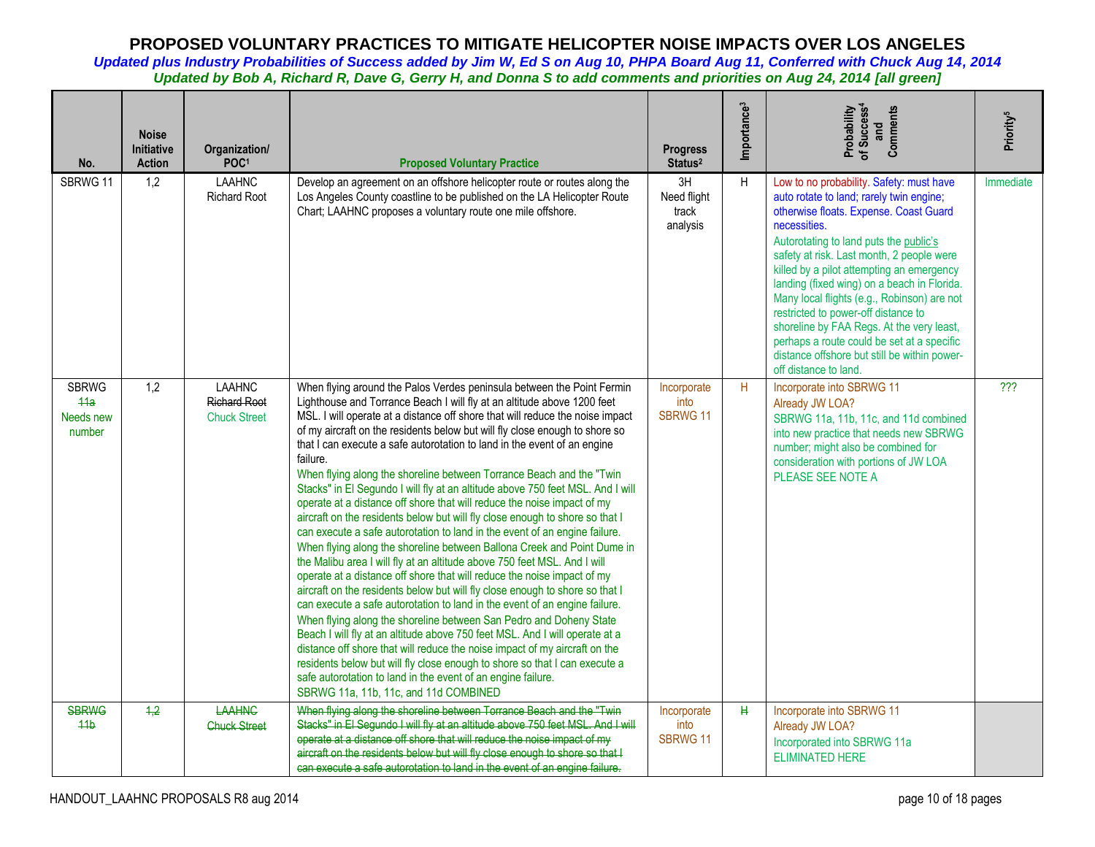| No.                                        | <b>Noise</b><br>Initiative<br><b>Action</b> | Organization/<br>POC <sup>1</sup>                           | <b>Proposed Voluntary Practice</b>                                                                                                                                                                                                                                                                                                                                                                                                                                                                                                                                                                                                                                                                                                                                                                                                                                                                                                                                                                                                                                                                                                                                                                                                                                                                                                                                                                                                                                                                                                                                                                                                     | <b>Progress</b><br>Status <sup>2</sup> | Importance <sup>3</sup> | Probability<br>of Success <sup>4</sup><br>Comments<br>and                                                                                                                                                                                                                                                                                                                                                                                                                                                                                                                                   | Priority <sup>5</sup> |
|--------------------------------------------|---------------------------------------------|-------------------------------------------------------------|----------------------------------------------------------------------------------------------------------------------------------------------------------------------------------------------------------------------------------------------------------------------------------------------------------------------------------------------------------------------------------------------------------------------------------------------------------------------------------------------------------------------------------------------------------------------------------------------------------------------------------------------------------------------------------------------------------------------------------------------------------------------------------------------------------------------------------------------------------------------------------------------------------------------------------------------------------------------------------------------------------------------------------------------------------------------------------------------------------------------------------------------------------------------------------------------------------------------------------------------------------------------------------------------------------------------------------------------------------------------------------------------------------------------------------------------------------------------------------------------------------------------------------------------------------------------------------------------------------------------------------------|----------------------------------------|-------------------------|---------------------------------------------------------------------------------------------------------------------------------------------------------------------------------------------------------------------------------------------------------------------------------------------------------------------------------------------------------------------------------------------------------------------------------------------------------------------------------------------------------------------------------------------------------------------------------------------|-----------------------|
| SBRWG 11                                   | 1,2                                         | <b>LAAHNC</b><br><b>Richard Root</b>                        | Develop an agreement on an offshore helicopter route or routes along the<br>Los Angeles County coastline to be published on the LA Helicopter Route<br>Chart; LAAHNC proposes a voluntary route one mile offshore.                                                                                                                                                                                                                                                                                                                                                                                                                                                                                                                                                                                                                                                                                                                                                                                                                                                                                                                                                                                                                                                                                                                                                                                                                                                                                                                                                                                                                     | 3H<br>Need flight<br>track<br>analysis | H                       | Low to no probability. Safety: must have<br>auto rotate to land; rarely twin engine;<br>otherwise floats. Expense. Coast Guard<br>necessities.<br>Autorotating to land puts the public's<br>safety at risk. Last month, 2 people were<br>killed by a pilot attempting an emergency<br>landing (fixed wing) on a beach in Florida.<br>Many local flights (e.g., Robinson) are not<br>restricted to power-off distance to<br>shoreline by FAA Regs. At the very least,<br>perhaps a route could be set at a specific<br>distance offshore but still be within power-<br>off distance to land. | Immediate             |
| <b>SBRWG</b><br>44a<br>Needs new<br>number | 1,2                                         | <b>LAAHNC</b><br><b>Richard Root</b><br><b>Chuck Street</b> | When flying around the Palos Verdes peninsula between the Point Fermin<br>Lighthouse and Torrance Beach I will fly at an altitude above 1200 feet<br>MSL. I will operate at a distance off shore that will reduce the noise impact<br>of my aircraft on the residents below but will fly close enough to shore so<br>that I can execute a safe autorotation to land in the event of an engine<br>failure.<br>When flying along the shoreline between Torrance Beach and the "Twin<br>Stacks" in El Segundo I will fly at an altitude above 750 feet MSL. And I will<br>operate at a distance off shore that will reduce the noise impact of my<br>aircraft on the residents below but will fly close enough to shore so that I<br>can execute a safe autorotation to land in the event of an engine failure.<br>When flying along the shoreline between Ballona Creek and Point Dume in<br>the Malibu area I will fly at an altitude above 750 feet MSL. And I will<br>operate at a distance off shore that will reduce the noise impact of my<br>aircraft on the residents below but will fly close enough to shore so that I<br>can execute a safe autorotation to land in the event of an engine failure.<br>When flying along the shoreline between San Pedro and Doheny State<br>Beach I will fly at an altitude above 750 feet MSL. And I will operate at a<br>distance off shore that will reduce the noise impact of my aircraft on the<br>residents below but will fly close enough to shore so that I can execute a<br>safe autorotation to land in the event of an engine failure.<br>SBRWG 11a, 11b, 11c, and 11d COMBINED | Incorporate<br>into<br><b>SBRWG 11</b> | H                       | Incorporate into SBRWG 11<br>Already JW LOA?<br>SBRWG 11a, 11b, 11c, and 11d combined<br>into new practice that needs new SBRWG<br>number; might also be combined for<br>consideration with portions of JW LOA<br>PLEASE SEE NOTE A                                                                                                                                                                                                                                                                                                                                                         | ???                   |
| <b>SBRWG</b><br>44 <sub>b</sub>            | 4,2                                         | <b>LAAHNG</b><br><b>Chuck Street</b>                        | When flying along the shoreline between Torrance Beach and the "Twin<br>Stacks" in El Segundo I will fly at an altitude above 750 feet MSL. And I will<br>operate at a distance off shore that will reduce the noise impact of my<br>aircraft on the residents below but will fly close enough to shore so that I<br>can execute a safe autorotation to land in the event of an engine failure.                                                                                                                                                                                                                                                                                                                                                                                                                                                                                                                                                                                                                                                                                                                                                                                                                                                                                                                                                                                                                                                                                                                                                                                                                                        | Incorporate<br>into<br>SBRWG 11        | H                       | Incorporate into SBRWG 11<br>Already JW LOA?<br>Incorporated into SBRWG 11a<br><b>ELIMINATED HERE</b>                                                                                                                                                                                                                                                                                                                                                                                                                                                                                       |                       |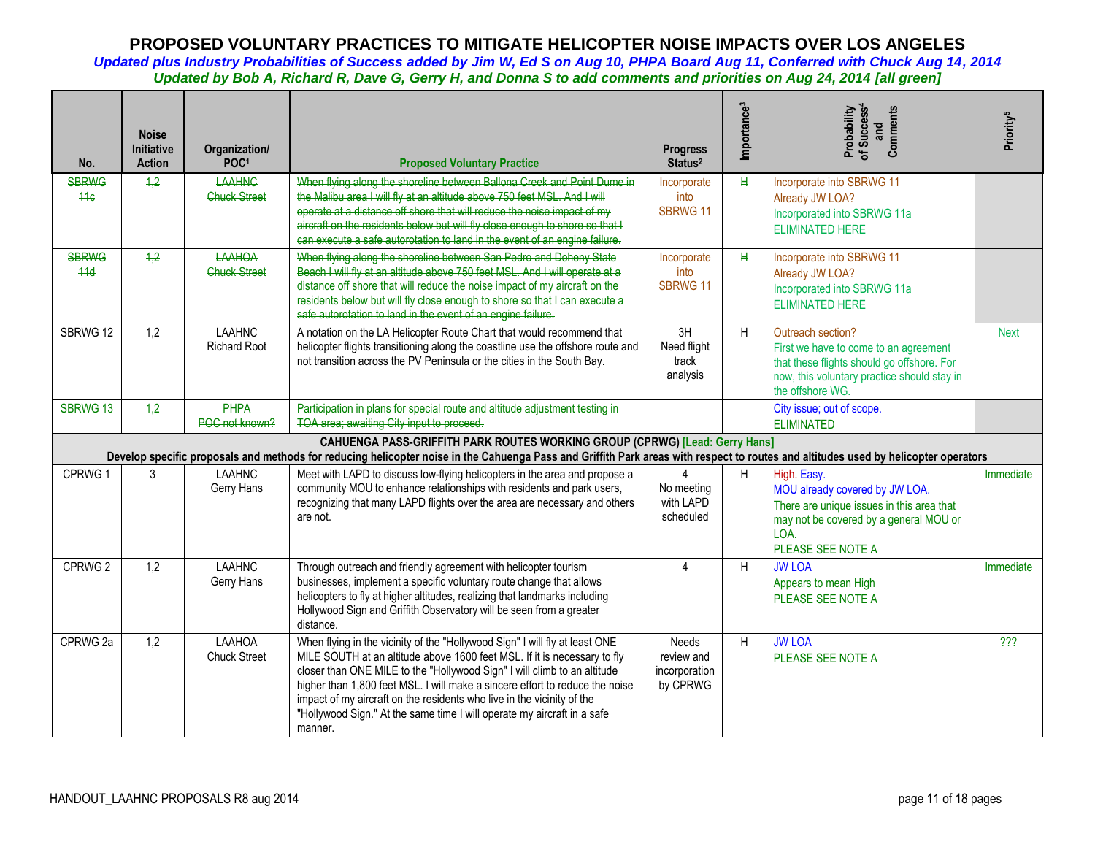| No.                             | <b>Noise</b><br>Initiative<br><b>Action</b> | Organization/<br>POC <sup>1</sup>    | <b>Proposed Voluntary Practice</b>                                                                                                                                                                                                                                                                                                                                                                                                                                                  | <b>Progress</b><br>Status <sup>2</sup>                  | Importance <sup>3</sup> | Probability<br>of Success <sup>4</sup><br>Comments<br>and                                                                                                                   | Priority <sup>5</sup> |
|---------------------------------|---------------------------------------------|--------------------------------------|-------------------------------------------------------------------------------------------------------------------------------------------------------------------------------------------------------------------------------------------------------------------------------------------------------------------------------------------------------------------------------------------------------------------------------------------------------------------------------------|---------------------------------------------------------|-------------------------|-----------------------------------------------------------------------------------------------------------------------------------------------------------------------------|-----------------------|
| <b>SBRWG</b><br>44 <sub>6</sub> | 1,2                                         | <b>LAAHNC</b><br><b>Chuck Street</b> | When flying along the shoreline between Ballona Creek and Point Dume in<br>the Malibu area I will fly at an altitude above 750 feet MSL. And I will<br>operate at a distance off shore that will reduce the noise impact of my<br>aircraft on the residents below but will fly close enough to shore so that I<br>can execute a safe autorotation to land in the event of an engine failure.                                                                                        | Incorporate<br>into<br>SBRWG 11                         | H                       | Incorporate into SBRWG 11<br>Already JW LOA?<br>Incorporated into SBRWG 11a<br><b>ELIMINATED HERE</b>                                                                       |                       |
| <b>SBRWG</b><br>44d             | 4,2                                         | LAAHOA<br><b>Chuck Street</b>        | When flying along the shoreline between San Pedro and Doheny State<br>Beach I will fly at an altitude above 750 feet MSL. And I will operate at a<br>distance off shore that will reduce the noise impact of my aircraft on the<br>residents below but will fly close enough to shore so that I can execute a<br>safe autorotation to land in the event of an engine failure.                                                                                                       | Incorporate<br>into<br>SBRWG 11                         | $\mathbf{H}$            | Incorporate into SBRWG 11<br>Already JW LOA?<br>Incorporated into SBRWG 11a<br><b>ELIMINATED HERE</b>                                                                       |                       |
| SBRWG 12                        | 1,2                                         | <b>LAAHNC</b><br><b>Richard Root</b> | A notation on the LA Helicopter Route Chart that would recommend that<br>helicopter flights transitioning along the coastline use the offshore route and<br>not transition across the PV Peninsula or the cities in the South Bay.                                                                                                                                                                                                                                                  | 3H<br>Need flight<br>track<br>analysis                  | H                       | Outreach section?<br>First we have to come to an agreement<br>that these flights should go offshore. For<br>now, this voluntary practice should stay in<br>the offshore WG. | <b>Next</b>           |
| SBRWG 13                        | 1.2                                         | <b>PHPA</b><br>POC not known?        | Participation in plans for special route and altitude adjustment testing in<br>TOA area; awaiting City input to proceed.                                                                                                                                                                                                                                                                                                                                                            |                                                         |                         | City issue; out of scope.<br><b>ELIMINATED</b>                                                                                                                              |                       |
|                                 |                                             |                                      | CAHUENGA PASS-GRIFFITH PARK ROUTES WORKING GROUP (CPRWG) [Lead: Gerry Hans]<br>Develop specific proposals and methods for reducing helicopter noise in the Cahuenga Pass and Griffith Park areas with respect to routes and altitudes used by helicopter operators                                                                                                                                                                                                                  |                                                         |                         |                                                                                                                                                                             |                       |
| CPRWG 1                         | 3                                           | <b>LAAHNC</b><br>Gerry Hans          | Meet with LAPD to discuss low-flying helicopters in the area and propose a<br>community MOU to enhance relationships with residents and park users,<br>recognizing that many LAPD flights over the area are necessary and others<br>are not.                                                                                                                                                                                                                                        | No meeting<br>with LAPD<br>scheduled                    | H                       | High. Easy.<br>MOU already covered by JW LOA.<br>There are unique issues in this area that<br>may not be covered by a general MOU or<br>LOA.<br>PLEASE SEE NOTE A           | Immediate             |
| CPRWG <sub>2</sub>              | 1,2                                         | <b>LAAHNC</b><br>Gerry Hans          | Through outreach and friendly agreement with helicopter tourism<br>businesses, implement a specific voluntary route change that allows<br>helicopters to fly at higher altitudes, realizing that landmarks including<br>Hollywood Sign and Griffith Observatory will be seen from a greater<br>distance.                                                                                                                                                                            | $\overline{4}$                                          | H                       | <b>JW LOA</b><br>Appears to mean High<br>PLEASE SEE NOTE A                                                                                                                  | Immediate             |
| CPRWG 2a                        | 1,2                                         | LAAHOA<br><b>Chuck Street</b>        | When flying in the vicinity of the "Hollywood Sign" I will fly at least ONE<br>MILE SOUTH at an altitude above 1600 feet MSL. If it is necessary to fly<br>closer than ONE MILE to the "Hollywood Sign" I will climb to an altitude<br>higher than 1,800 feet MSL. I will make a sincere effort to reduce the noise<br>impact of my aircraft on the residents who live in the vicinity of the<br>"Hollywood Sign." At the same time I will operate my aircraft in a safe<br>manner. | <b>Needs</b><br>review and<br>incorporation<br>by CPRWG | H                       | <b>JW LOA</b><br>PLEASE SEE NOTE A                                                                                                                                          | ???                   |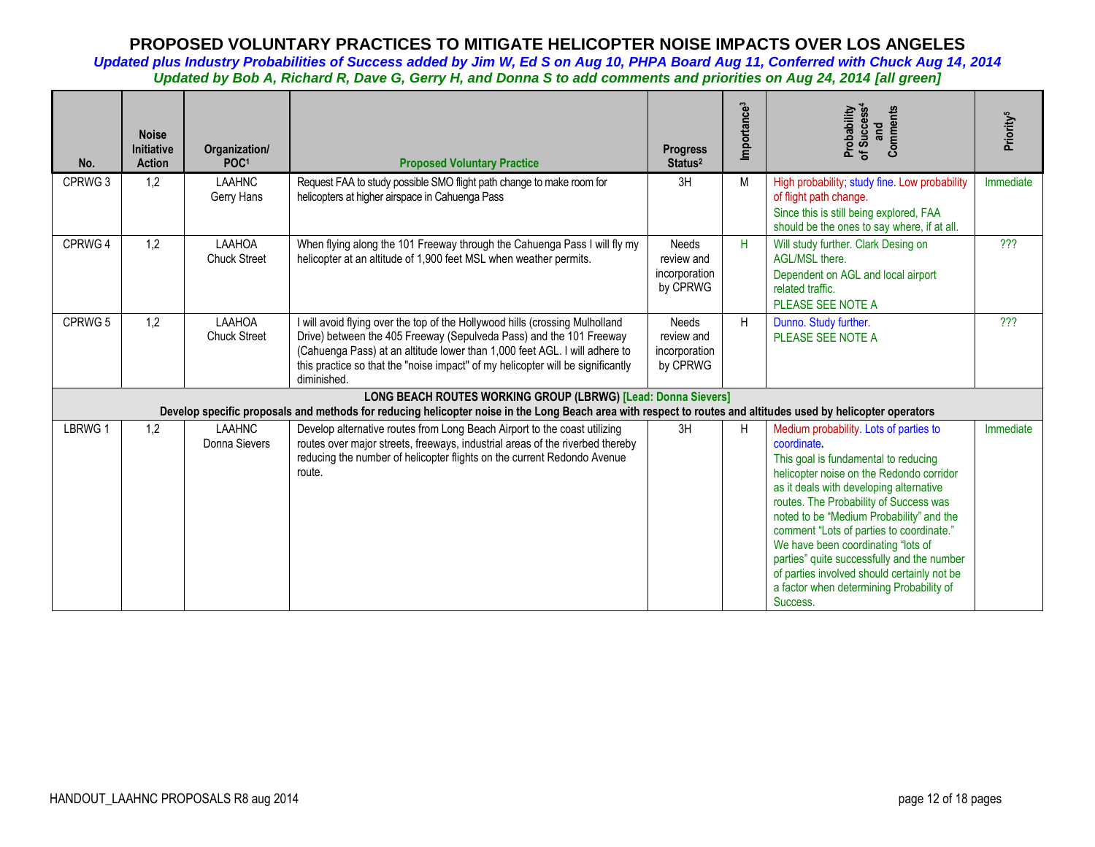| No.     | <b>Noise</b><br><b>Initiative</b><br><b>Action</b> | Organization/<br>POC <sup>1</sup> | <b>Proposed Voluntary Practice</b>                                                                                                                                                                                                                                                                                                  | <b>Progress</b><br>Status <sup>2</sup>                  | Importance <sup>3</sup> | Probability<br>of Success <sup>4</sup><br>Comments<br>and                                                                                                                                                                                                                                                                                                                                                                                                                                                         | Priority <sup>5</sup> |
|---------|----------------------------------------------------|-----------------------------------|-------------------------------------------------------------------------------------------------------------------------------------------------------------------------------------------------------------------------------------------------------------------------------------------------------------------------------------|---------------------------------------------------------|-------------------------|-------------------------------------------------------------------------------------------------------------------------------------------------------------------------------------------------------------------------------------------------------------------------------------------------------------------------------------------------------------------------------------------------------------------------------------------------------------------------------------------------------------------|-----------------------|
| CPRWG 3 | 1,2                                                | <b>LAAHNC</b><br>Gerry Hans       | Request FAA to study possible SMO flight path change to make room for<br>helicopters at higher airspace in Cahuenga Pass                                                                                                                                                                                                            | 3H                                                      | M                       | High probability; study fine. Low probability<br>of flight path change.<br>Since this is still being explored, FAA<br>should be the ones to say where, if at all.                                                                                                                                                                                                                                                                                                                                                 | Immediate             |
| CPRWG 4 | 1,2                                                | LAAHOA<br><b>Chuck Street</b>     | When flying along the 101 Freeway through the Cahuenga Pass I will fly my<br>helicopter at an altitude of 1,900 feet MSL when weather permits.                                                                                                                                                                                      | <b>Needs</b><br>review and<br>incorporation<br>by CPRWG | H                       | Will study further. Clark Desing on<br>AGL/MSL there.<br>Dependent on AGL and local airport<br>related traffic.<br>PLEASE SEE NOTE A                                                                                                                                                                                                                                                                                                                                                                              | ???                   |
| CPRWG 5 | 1,2                                                | LAAHOA<br><b>Chuck Street</b>     | I will avoid flying over the top of the Hollywood hills (crossing Mulholland<br>Drive) between the 405 Freeway (Sepulveda Pass) and the 101 Freeway<br>(Cahuenga Pass) at an altitude lower than 1,000 feet AGL. I will adhere to<br>this practice so that the "noise impact" of my helicopter will be significantly<br>diminished. | <b>Needs</b><br>review and<br>incorporation<br>by CPRWG | H                       | Dunno. Study further.<br>PLEASE SEE NOTE A                                                                                                                                                                                                                                                                                                                                                                                                                                                                        | ???                   |
|         |                                                    |                                   | LONG BEACH ROUTES WORKING GROUP (LBRWG) [Lead: Donna Sievers]<br>Develop specific proposals and methods for reducing helicopter noise in the Long Beach area with respect to routes and altitudes used by helicopter operators                                                                                                      |                                                         |                         |                                                                                                                                                                                                                                                                                                                                                                                                                                                                                                                   |                       |
| LBRWG 1 | 1,2                                                | <b>LAAHNC</b><br>Donna Sievers    | Develop alternative routes from Long Beach Airport to the coast utilizing<br>routes over major streets, freeways, industrial areas of the riverbed thereby<br>reducing the number of helicopter flights on the current Redondo Avenue<br>route.                                                                                     | 3H                                                      | H                       | Medium probability. Lots of parties to<br>coordinate.<br>This goal is fundamental to reducing<br>helicopter noise on the Redondo corridor<br>as it deals with developing alternative<br>routes. The Probability of Success was<br>noted to be "Medium Probability" and the<br>comment "Lots of parties to coordinate."<br>We have been coordinating "lots of<br>parties" quite successfully and the number<br>of parties involved should certainly not be<br>a factor when determining Probability of<br>Success. | Immediate             |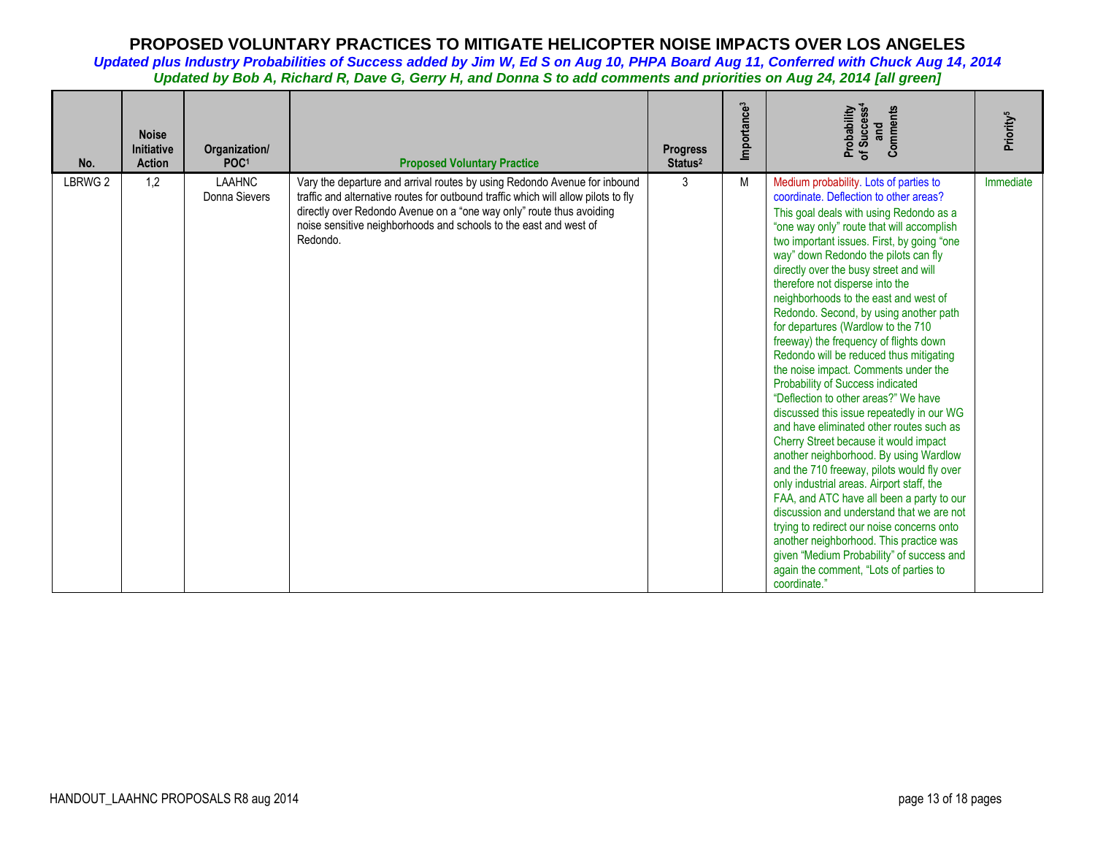| No.     | <b>Noise</b><br><b>Initiative</b><br><b>Action</b> | Organization/<br>POC <sup>1</sup> | <b>Proposed Voluntary Practice</b>                                                                                                                                                                                                                                                                                       | <b>Progress</b><br>Status <sup>2</sup> | Importance <sup>3</sup> | of Success <sup>4</sup><br>and<br>Probability<br>Comments                                                                                                                                                                                                                                                                                                                                                                                                                                                                                                                                                                                                                                                                                                                                                                                                                                                                                                                                                                                                                                                                                                                                                                                      | Priority <sup>5</sup> |
|---------|----------------------------------------------------|-----------------------------------|--------------------------------------------------------------------------------------------------------------------------------------------------------------------------------------------------------------------------------------------------------------------------------------------------------------------------|----------------------------------------|-------------------------|------------------------------------------------------------------------------------------------------------------------------------------------------------------------------------------------------------------------------------------------------------------------------------------------------------------------------------------------------------------------------------------------------------------------------------------------------------------------------------------------------------------------------------------------------------------------------------------------------------------------------------------------------------------------------------------------------------------------------------------------------------------------------------------------------------------------------------------------------------------------------------------------------------------------------------------------------------------------------------------------------------------------------------------------------------------------------------------------------------------------------------------------------------------------------------------------------------------------------------------------|-----------------------|
| LBRWG 2 | 1,2                                                | <b>LAAHNC</b><br>Donna Sievers    | Vary the departure and arrival routes by using Redondo Avenue for inbound<br>traffic and alternative routes for outbound traffic which will allow pilots to fly<br>directly over Redondo Avenue on a "one way only" route thus avoiding<br>noise sensitive neighborhoods and schools to the east and west of<br>Redondo. | 3                                      | M                       | Medium probability. Lots of parties to<br>coordinate. Deflection to other areas?<br>This goal deals with using Redondo as a<br>"one way only" route that will accomplish<br>two important issues. First, by going "one<br>way" down Redondo the pilots can fly<br>directly over the busy street and will<br>therefore not disperse into the<br>neighborhoods to the east and west of<br>Redondo. Second, by using another path<br>for departures (Wardlow to the 710<br>freeway) the frequency of flights down<br>Redondo will be reduced thus mitigating<br>the noise impact. Comments under the<br>Probability of Success indicated<br>"Deflection to other areas?" We have<br>discussed this issue repeatedly in our WG<br>and have eliminated other routes such as<br>Cherry Street because it would impact<br>another neighborhood. By using Wardlow<br>and the 710 freeway, pilots would fly over<br>only industrial areas. Airport staff, the<br>FAA, and ATC have all been a party to our<br>discussion and understand that we are not<br>trying to redirect our noise concerns onto<br>another neighborhood. This practice was<br>given "Medium Probability" of success and<br>again the comment, "Lots of parties to<br>coordinate." | Immediate             |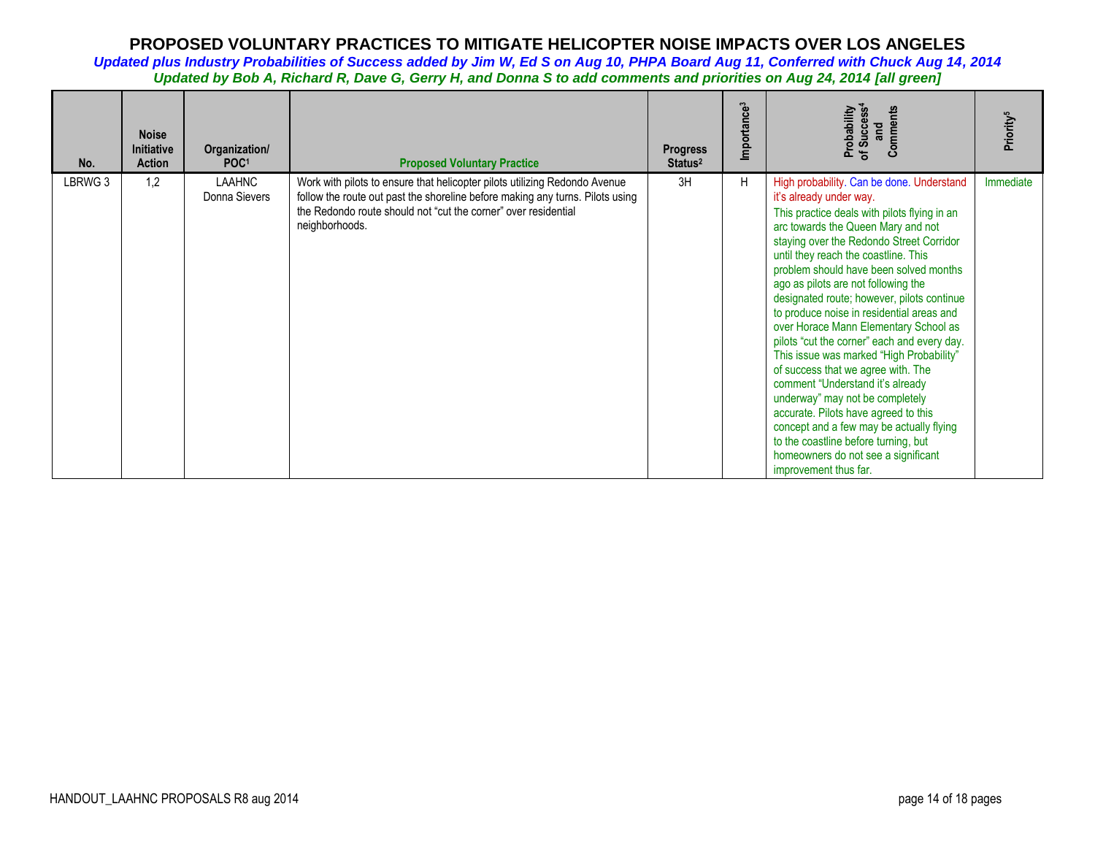| No.     | <b>Noise</b><br><b>Initiative</b><br>Action | Organization/<br>POC <sup>1</sup> | <b>Proposed Voluntary Practice</b>                                                                                                                                                                                                              | <b>Progress</b><br>Status <sup>2</sup> | Importance <sup>3</sup> | Comments<br>Probability<br>of Success <sup>4</sup><br>and                                                                                                                                                                                                                                                                                                                                                                                                                                                                                                                                                                                                                                                                                                                                                                                                               | Priority <sup>5</sup> |
|---------|---------------------------------------------|-----------------------------------|-------------------------------------------------------------------------------------------------------------------------------------------------------------------------------------------------------------------------------------------------|----------------------------------------|-------------------------|-------------------------------------------------------------------------------------------------------------------------------------------------------------------------------------------------------------------------------------------------------------------------------------------------------------------------------------------------------------------------------------------------------------------------------------------------------------------------------------------------------------------------------------------------------------------------------------------------------------------------------------------------------------------------------------------------------------------------------------------------------------------------------------------------------------------------------------------------------------------------|-----------------------|
| LBRWG 3 | 1,2                                         | LAAHNC<br>Donna Sievers           | Work with pilots to ensure that helicopter pilots utilizing Redondo Avenue<br>follow the route out past the shoreline before making any turns. Pilots using<br>the Redondo route should not "cut the corner" over residential<br>neighborhoods. | 3H                                     | H                       | High probability. Can be done. Understand<br>it's already under way.<br>This practice deals with pilots flying in an<br>arc towards the Queen Mary and not<br>staying over the Redondo Street Corridor<br>until they reach the coastline. This<br>problem should have been solved months<br>ago as pilots are not following the<br>designated route; however, pilots continue<br>to produce noise in residential areas and<br>over Horace Mann Elementary School as<br>pilots "cut the corner" each and every day.<br>This issue was marked "High Probability"<br>of success that we agree with. The<br>comment "Understand it's already<br>underway" may not be completely<br>accurate. Pilots have agreed to this<br>concept and a few may be actually flying<br>to the coastline before turning, but<br>homeowners do not see a significant<br>improvement thus far. | Immediate             |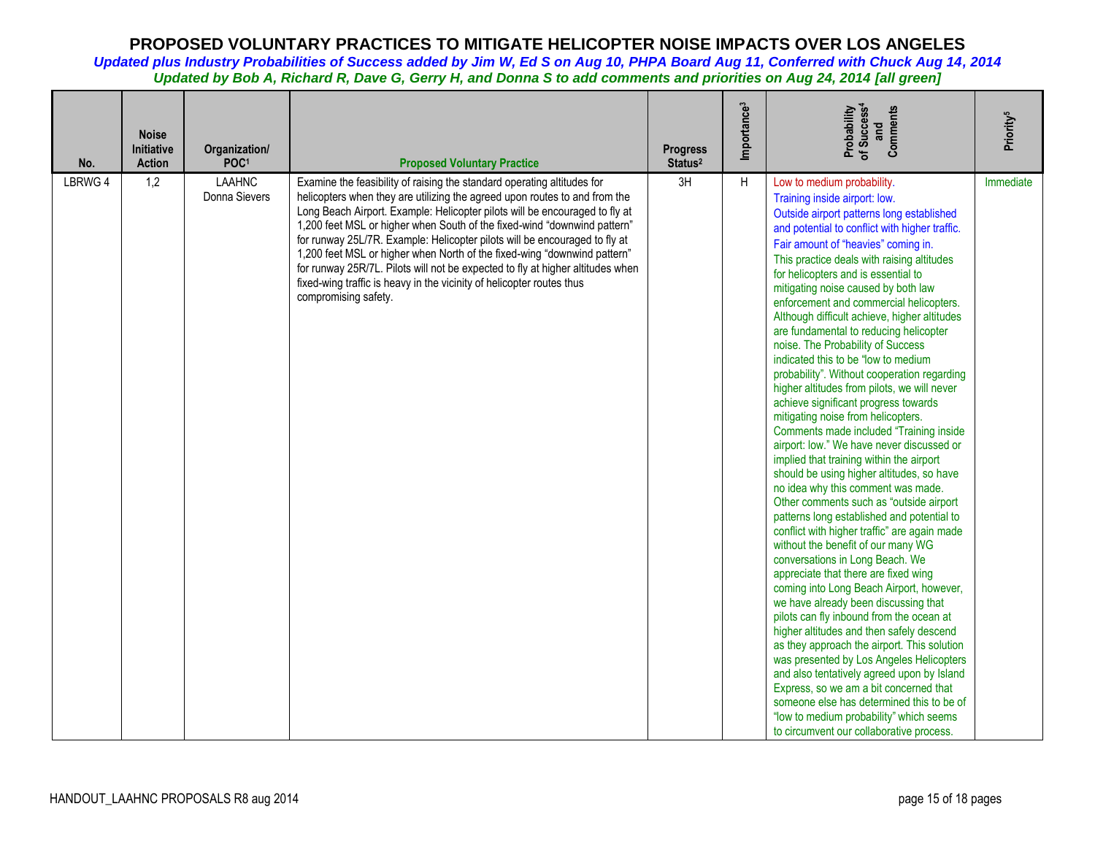| No.     | <b>Noise</b><br><b>Initiative</b><br><b>Action</b> | Organization/<br>POC <sup>1</sup> | <b>Proposed Voluntary Practice</b>                                                                                                                                                                                                                                                                                                                                                                                                                                                                                                                                                                                                                            | <b>Progress</b><br>Status <sup>2</sup> | Importance <sup>3</sup> | Probability<br>of Success <sup>4</sup><br>Comments<br>and                                                                                                                                                                                                                                                                                                                                                                                                                                                                                                                                                                                                                                                                                                                                                                                                                                                                                                                                                                                                                                                                                                                                                                                                                                                                                                                                                                                                                                                                                                                                                                                                                                                      | Priority <sup>5</sup> |
|---------|----------------------------------------------------|-----------------------------------|---------------------------------------------------------------------------------------------------------------------------------------------------------------------------------------------------------------------------------------------------------------------------------------------------------------------------------------------------------------------------------------------------------------------------------------------------------------------------------------------------------------------------------------------------------------------------------------------------------------------------------------------------------------|----------------------------------------|-------------------------|----------------------------------------------------------------------------------------------------------------------------------------------------------------------------------------------------------------------------------------------------------------------------------------------------------------------------------------------------------------------------------------------------------------------------------------------------------------------------------------------------------------------------------------------------------------------------------------------------------------------------------------------------------------------------------------------------------------------------------------------------------------------------------------------------------------------------------------------------------------------------------------------------------------------------------------------------------------------------------------------------------------------------------------------------------------------------------------------------------------------------------------------------------------------------------------------------------------------------------------------------------------------------------------------------------------------------------------------------------------------------------------------------------------------------------------------------------------------------------------------------------------------------------------------------------------------------------------------------------------------------------------------------------------------------------------------------------------|-----------------------|
| LBRWG 4 | 1,2                                                | <b>LAAHNC</b><br>Donna Sievers    | Examine the feasibility of raising the standard operating altitudes for<br>helicopters when they are utilizing the agreed upon routes to and from the<br>Long Beach Airport. Example: Helicopter pilots will be encouraged to fly at<br>1,200 feet MSL or higher when South of the fixed-wind "downwind pattern"<br>for runway 25L/7R. Example: Helicopter pilots will be encouraged to fly at<br>1,200 feet MSL or higher when North of the fixed-wing "downwind pattern"<br>for runway 25R/7L. Pilots will not be expected to fly at higher altitudes when<br>fixed-wing traffic is heavy in the vicinity of helicopter routes thus<br>compromising safety. | 3H                                     | H                       | Low to medium probability.<br>Training inside airport: low.<br>Outside airport patterns long established<br>and potential to conflict with higher traffic.<br>Fair amount of "heavies" coming in.<br>This practice deals with raising altitudes<br>for helicopters and is essential to<br>mitigating noise caused by both law<br>enforcement and commercial helicopters.<br>Although difficult achieve, higher altitudes<br>are fundamental to reducing helicopter<br>noise. The Probability of Success<br>indicated this to be "low to medium<br>probability". Without cooperation regarding<br>higher altitudes from pilots, we will never<br>achieve significant progress towards<br>mitigating noise from helicopters.<br>Comments made included "Training inside<br>airport: low." We have never discussed or<br>implied that training within the airport<br>should be using higher altitudes, so have<br>no idea why this comment was made.<br>Other comments such as "outside airport<br>patterns long established and potential to<br>conflict with higher traffic" are again made<br>without the benefit of our many WG<br>conversations in Long Beach. We<br>appreciate that there are fixed wing<br>coming into Long Beach Airport, however,<br>we have already been discussing that<br>pilots can fly inbound from the ocean at<br>higher altitudes and then safely descend<br>as they approach the airport. This solution<br>was presented by Los Angeles Helicopters<br>and also tentatively agreed upon by Island<br>Express, so we am a bit concerned that<br>someone else has determined this to be of<br>"low to medium probability" which seems<br>to circumvent our collaborative process. | Immediate             |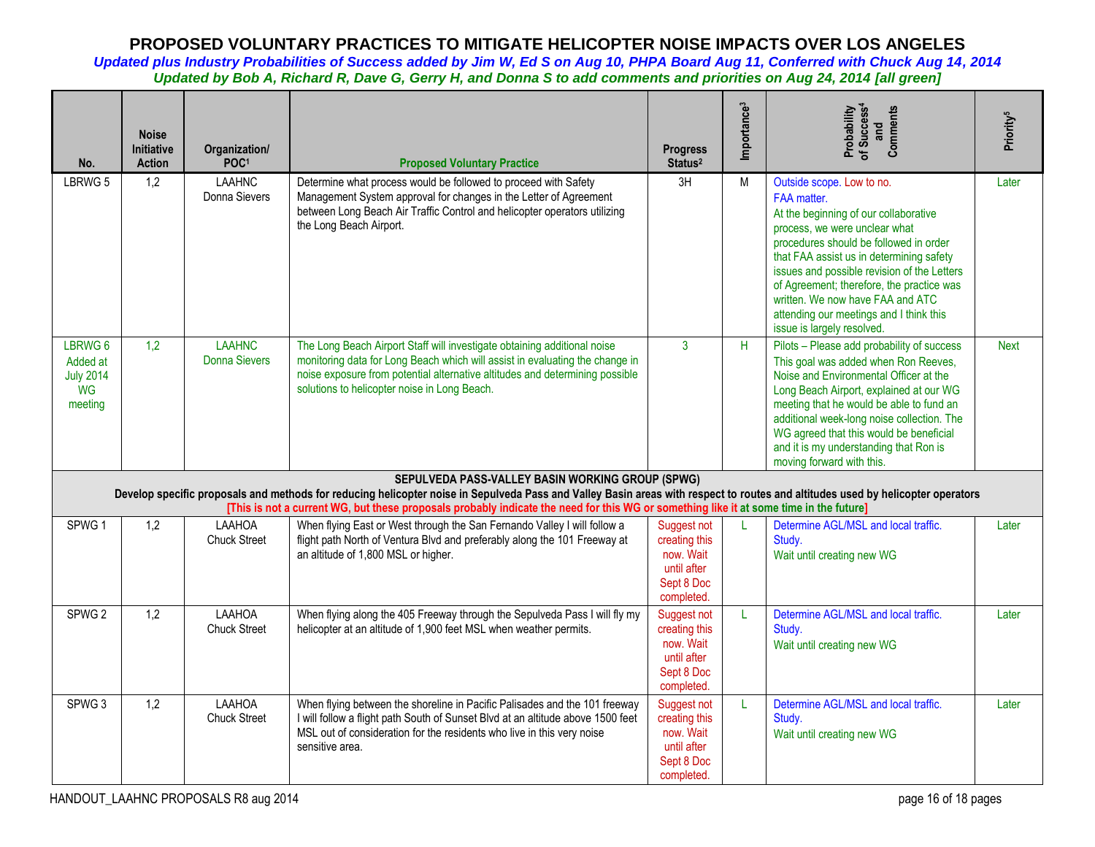| No.                                                             | <b>Noise</b><br><b>Initiative</b><br><b>Action</b> | Organization/<br>POC <sup>1</sup>     | <b>Proposed Voluntary Practice</b>                                                                                                                                                                                                                                                                                                                                            | <b>Progress</b><br>Status <sup>2</sup>                                               | Importance <sup>3</sup> | of Success <sup>4</sup><br>Comments<br>Probability<br>and                                                                                                                                                                                                                                                                                                                                                         | Priority <sup>5</sup> |
|-----------------------------------------------------------------|----------------------------------------------------|---------------------------------------|-------------------------------------------------------------------------------------------------------------------------------------------------------------------------------------------------------------------------------------------------------------------------------------------------------------------------------------------------------------------------------|--------------------------------------------------------------------------------------|-------------------------|-------------------------------------------------------------------------------------------------------------------------------------------------------------------------------------------------------------------------------------------------------------------------------------------------------------------------------------------------------------------------------------------------------------------|-----------------------|
| LBRWG 5                                                         | 1.2                                                | <b>LAAHNC</b><br>Donna Sievers        | Determine what process would be followed to proceed with Safety<br>Management System approval for changes in the Letter of Agreement<br>between Long Beach Air Traffic Control and helicopter operators utilizing<br>the Long Beach Airport.                                                                                                                                  | 3H                                                                                   | M                       | Outside scope. Low to no.<br>FAA matter.<br>At the beginning of our collaborative<br>process, we were unclear what<br>procedures should be followed in order<br>that FAA assist us in determining safety<br>issues and possible revision of the Letters<br>of Agreement; therefore, the practice was<br>written. We now have FAA and ATC<br>attending our meetings and I think this<br>issue is largely resolved. | Later                 |
| LBRWG 6<br>Added at<br><b>July 2014</b><br><b>WG</b><br>meeting | 1,2                                                | <b>LAAHNC</b><br><b>Donna Sievers</b> | The Long Beach Airport Staff will investigate obtaining additional noise<br>monitoring data for Long Beach which will assist in evaluating the change in<br>noise exposure from potential alternative altitudes and determining possible<br>solutions to helicopter noise in Long Beach.                                                                                      | $\mathbf{3}$                                                                         | H                       | Pilots - Please add probability of success<br>This goal was added when Ron Reeves,<br>Noise and Environmental Officer at the<br>Long Beach Airport, explained at our WG<br>meeting that he would be able to fund an<br>additional week-long noise collection. The<br>WG agreed that this would be beneficial<br>and it is my understanding that Ron is<br>moving forward with this.                               | <b>Next</b>           |
|                                                                 |                                                    |                                       | SEPULVEDA PASS-VALLEY BASIN WORKING GROUP (SPWG)<br>Develop specific proposals and methods for reducing helicopter noise in Sepulveda Pass and Valley Basin areas with respect to routes and altitudes used by helicopter operators<br>[This is not a current WG, but these proposals probably indicate the need for this WG or something like it at some time in the future] |                                                                                      |                         |                                                                                                                                                                                                                                                                                                                                                                                                                   |                       |
| SPWG <sub>1</sub>                                               | 1,2                                                | LAAHOA<br><b>Chuck Street</b>         | When flying East or West through the San Fernando Valley I will follow a<br>flight path North of Ventura Blvd and preferably along the 101 Freeway at<br>an altitude of 1,800 MSL or higher.                                                                                                                                                                                  | Suggest not<br>creating this<br>now. Wait<br>until after<br>Sept 8 Doc<br>completed. | L                       | Determine AGL/MSL and local traffic.<br>Study.<br>Wait until creating new WG                                                                                                                                                                                                                                                                                                                                      | Later                 |
| SPWG <sub>2</sub>                                               | 1,2                                                | LAAHOA<br><b>Chuck Street</b>         | When flying along the 405 Freeway through the Sepulveda Pass I will fly my<br>helicopter at an altitude of 1,900 feet MSL when weather permits.                                                                                                                                                                                                                               | Suggest not<br>creating this<br>now. Wait<br>until after<br>Sept 8 Doc<br>completed. | $\mathbf{L}$            | Determine AGL/MSL and local traffic.<br>Study.<br>Wait until creating new WG                                                                                                                                                                                                                                                                                                                                      | Later                 |
| SPWG <sub>3</sub>                                               | 1,2                                                | LAAHOA<br><b>Chuck Street</b>         | When flying between the shoreline in Pacific Palisades and the 101 freeway<br>I will follow a flight path South of Sunset Blvd at an altitude above 1500 feet<br>MSL out of consideration for the residents who live in this very noise<br>sensitive area.                                                                                                                    | Suggest not<br>creating this<br>now. Wait<br>until after<br>Sept 8 Doc<br>completed. | L                       | Determine AGL/MSL and local traffic.<br>Study.<br>Wait until creating new WG                                                                                                                                                                                                                                                                                                                                      | Later                 |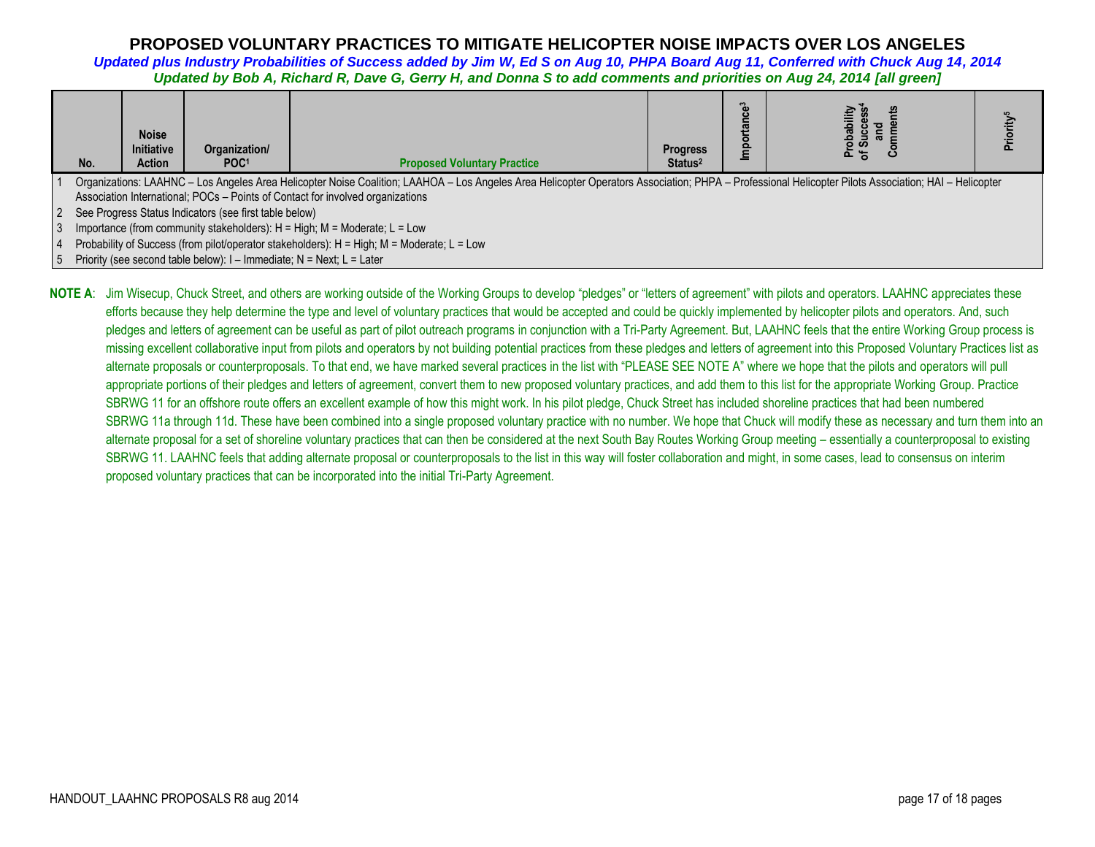*Updated plus Industry Probabilities of Success added by Jim W, Ed S on Aug 10, PHPA Board Aug 11, Conferred with Chuck Aug 14, 2014 Updated by Bob A, Richard R, Dave G, Gerry H, and Donna S to add comments and priorities on Aug 24, 2014 [all green]*

| No.                                                                       | <b>Noise</b><br><b>Initiative</b><br><b>Action</b> | Organization/<br>POC <sup>1</sup>                                        | <b>Proposed Voluntary Practice</b>                                                                                                                                                                   | <b>Progress</b><br>Status <sup>2</sup> | ឹ<br>$\mathbf c$<br><u> ፰</u> | ਠ<br>$\bar{a}$<br>ဝ ဟ |  |
|---------------------------------------------------------------------------|----------------------------------------------------|--------------------------------------------------------------------------|------------------------------------------------------------------------------------------------------------------------------------------------------------------------------------------------------|----------------------------------------|-------------------------------|-----------------------|--|
|                                                                           |                                                    |                                                                          | Organizations: LAAHNC - Los Angeles Area Helicopter Noise Coalition; LAAHOA - Los Angeles Area Helicopter Operators Association; PHPA - Professional Helicopter Pilots Association; HAI - Helicopter |                                        |                               |                       |  |
|                                                                           |                                                    |                                                                          | Association International; POCs - Points of Contact for involved organizations                                                                                                                       |                                        |                               |                       |  |
| See Progress Status Indicators (see first table below)                    |                                                    |                                                                          |                                                                                                                                                                                                      |                                        |                               |                       |  |
| Importance (from community stakeholders): H = High; M = Moderate; L = Low |                                                    |                                                                          |                                                                                                                                                                                                      |                                        |                               |                       |  |
|                                                                           |                                                    |                                                                          | Probability of Success (from pilot/operator stakeholders): H = High; M = Moderate; L = Low                                                                                                           |                                        |                               |                       |  |
|                                                                           |                                                    | Priority (see second table below): $I - I$ mmediate; N = Next; L = Later |                                                                                                                                                                                                      |                                        |                               |                       |  |

NOTE A: Jim Wisecup, Chuck Street, and others are working outside of the Working Groups to develop "pledges" or "letters of agreement" with pilots and operators. LAAHNC appreciates these efforts because they help determine the type and level of voluntary practices that would be accepted and could be quickly implemented by helicopter pilots and operators. And, such pledges and letters of agreement can be useful as part of pilot outreach programs in conjunction with a Tri-Party Agreement. But, LAAHNC feels that the entire Working Group process is missing excellent collaborative input from pilots and operators by not building potential practices from these pledges and letters of agreement into this Proposed Voluntary Practices list as alternate proposals or counterproposals. To that end, we have marked several practices in the list with "PLEASE SEE NOTE A" where we hope that the pilots and operators will pull appropriate portions of their pledges and letters of agreement, convert them to new proposed voluntary practices, and add them to this list for the appropriate Working Group. Practice SBRWG 11 for an offshore route offers an excellent example of how this might work. In his pilot pledge, Chuck Street has included shoreline practices that had been numbered SBRWG 11a through 11d. These have been combined into a single proposed voluntary practice with no number. We hope that Chuck will modify these as necessary and turn them into an alternate proposal for a set of shoreline voluntary practices that can then be considered at the next South Bay Routes Working Group meeting – essentially a counterproposal to existing SBRWG 11. LAAHNC feels that adding alternate proposal or counterproposals to the list in this way will foster collaboration and might, in some cases, lead to consensus on interim proposed voluntary practices that can be incorporated into the initial Tri-Party Agreement.